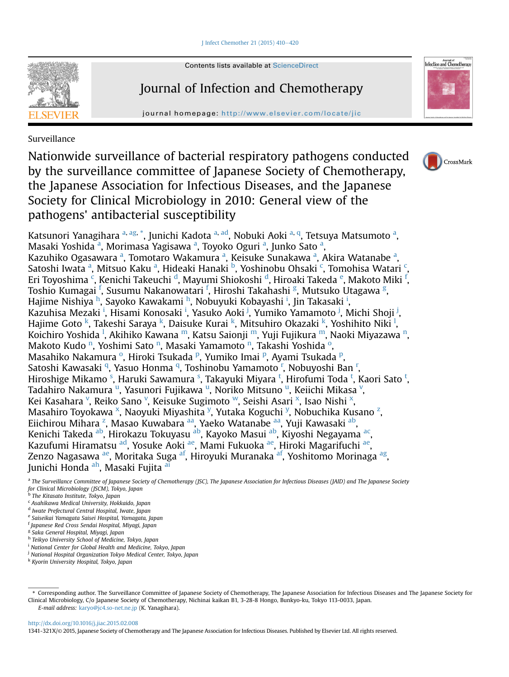I Infect Chemother 21 (2015) 410-[420](http://dx.doi.org/10.1016/j.jiac.2015.02.008)



Contents lists available at ScienceDirect

# Journal of Infection and Chemotherapy

journal homepage: <http://www.elsevier.com/locate/jic>



Surveillance

Nationwide surveillance of bacterial respiratory pathogens conducted by the surveillance committee of Japanese Society of Chemotherapy, the Japanese Association for Infectious Diseases, and the Japanese Society for Clinical Microbiology in 2010: General view of the pathogens' antibacterial susceptibility



Katsunori Yanagihara <sup>a, [ag,](#page-1-0) \*</sup>, Junichi K[ad](#page-1-0)ota <sup>a, ad</sup>, Nobuki Aoki <sup>a, [q](#page-1-0)</sup>, Tetsuya Matsumoto <sup>a</sup>, Masaki Yoshida <sup>a</sup>, Morimasa Yagisawa <sup>a</sup>, Toyoko Oguri <sup>a</sup>, Junko Sato <sup>a</sup>, Kazuhiko Ogasawara <sup>a</sup>, Tomotaro Wakamura <sup>a</sup>, Keisuke Sunakawa <sup>a</sup>, Akira Watanabe <sup>a</sup>, Satoshi Iwata <sup>a</sup>, Mitsuo Kaku <sup>a</sup>, Hideaki Hanaki <sup>b</sup>, Yoshinobu Ohsaki <sup>c</sup>, Tomohisa Watari <sup>c</sup>, Eri Toyoshima <sup>c</sup>, Kenichi Takeuchi <sup>d</sup>, Mayumi Shiokoshi <sup>d</sup>, Hiroaki Takeda <sup>e</sup>, Makoto Miki <sup>f</sup>, Toshio Kumagai <sup>f</sup>, Susumu Nakanowatari <sup>f</sup>, Hiroshi Takahashi <sup>g</sup>, Mutsuko Utagawa <sup>g</sup>, Hajime Nishiya <sup>h</sup>, Sayoko Kawakami <sup>h</sup>, Nobuyuki Kobayashi <sup>i</sup>, Jin Takasaki <sup>i</sup>, Kazuhisa Mezaki <sup>i</sup>, Hisami Konosaki <sup>i</sup>, Yasuko Aoki <sup>j</sup>, Yumiko Yamamoto <sup>j</sup>, Michi Shoji <sup>j</sup>, Hajime Goto <sup>k</sup>, Takeshi Saraya <sup>k</sup>, Daisuke Kurai <sup>k</sup>, Mitsuhiro Okazaki <sup>k</sup>, Yoshihito Niki <sup>[l](#page-1-0)</sup>, Koichiro Yoshida <sup>I</sup>, Akihiko Kawa[n](#page-1-0)a <sup>m</sup>, Katsu Saionji <sup>m</sup>, Yuji Fujikura <sup>m</sup>, Naoki Miyazawa <sup>n</sup>, Makoto Kudo <sup>[n](#page-1-0)</sup>, Y[o](#page-1-0)shimi Sato <sup>n</sup>, Masaki Yamamoto <sup>n</sup>, Takashi Yoshida <sup>o</sup>, Masahik[o](#page-1-0) Nakamura <su[p](#page-1-0)>o</sup>, Hiroki Tsukada <sup>p</sup>, Yumiko Imai <sup>p</sup>, Ayami Tsukada <sup>p</sup>, Satoshi Kawasaki <sup>[q](#page-1-0)</sup>, Yasuo Honma <sup>q</sup>, Toshinobu Yamamoto <sup>[r](#page-1-0)</sup>, Nobuyoshi Ban <sup>r</sup>, Hiro[s](#page-1-0)hige Mikamo <sup>s</sup>, Haruki Sawamura <sup>s</sup>, Takayuki Miyara <sup>[t](#page-1-0)</sup>, Hirofumi Toda <sup>t</sup>, Kaori Sato <sup>t</sup>, Tadahiro Nakam[u](#page-1-0)ra <sup>u</sup>, Yasunori Fujikawa <sup>u</sup>, Noriko Mitsuno <sup>u</sup>, Keiichi Mikasa <sup>[v](#page-1-0)</sup>, Kei Kasahara <sup>[v](#page-1-0)</sup>, Reiko Sano <sup>v</sup>, Keisuke Sugimoto <sup>w</sup>, Seishi Asari <sup>[x](#page-1-0)</sup>, Isao Nishi <sup>x</sup>, Masahiro Toyokawa <sup>[x](#page-1-0)</sup>, Nao[y](#page-1-0)uki Miyashita <sup>y</sup>, Yutaka Koguchi <sup>y</sup>, Nobuchika Kusano <sup>[z](#page-1-0)</sup>, Eiichirou Mihara <sup>[z](#page-1-0)</sup>, Masao Kuwabara <sup>[aa](#page-1-0)</sup>, Yaeko Watan[ab](#page-1-0)e <sup>aa</sup>, Yuji Kawasaki <sup>ab</sup>, Kenichi Takeda <sup>ab</sup>, Hirokazu Tokuyasu <sup>ab</sup>, Kayoko Masui <sup>ab</sup>, Kiyoshi Negayama <sup>ac</sup>, Kazufumi Hiramatsu [ad,](#page-1-0) Yosuke Aoki [ae,](#page-1-0) Mami Fukuoka [ae](#page-1-0), Hiroki Magarifuchi ae, Zenzo Nagasawa [ae](#page-1-0), Moritaka Suga [af,](#page-1-0) Hiroyuki Muranaka [af](#page-1-0), Yoshitomo Morinaga [ag,](#page-1-0) Junichi Honda [ah](#page-1-0), Masaki Fujita al

<sup>a</sup> The Surveillance Committee of Japanese Society of Chemotherapy (JSC), The Japanese Association for Infectious Diseases (JAID) and The Japanese Society for Clinical Microbiology (JSCM), Tokyo, Japan <sup>b</sup> The Kitasato Institute, Tokyo, Japan

- <sup>c</sup> Asahikawa Medical University, Hokkaido, Japan
- <sup>d</sup> Iwate Prefectural Central Hospital, Iwate, Japan
- <sup>e</sup> Saiseikai Yamagata Saisei Hospital, Yamagata, Japan
- <sup>f</sup> Japanese Red Cross Sendai Hospital, Miyagi, Japan
- <sup>g</sup> Saka General Hospital, Miyagi, Japan

<sup>h</sup> Teikyo University School of Medicine, Tokyo, Japan

<sup>&</sup>lt;sup>i</sup> National Center for Global Health and Medicine, Tokyo, Japan

<sup>&</sup>lt;sup>j</sup> National Hospital Organization Tokyo Medical Center, Tokyo, Japan

<sup>k</sup> Kyorin University Hospital, Tokyo, Japan

<sup>\*</sup> Corresponding author. The Surveillance Committee of Japanese Society of Chemotherapy, The Japanese Association for Infectious Diseases and The Japanese Society for Clinical Microbiology, C/o Japanese Society of Chemotherapy, Nichinai kaikan B1, 3-28-8 Hongo, Bunkyo-ku, Tokyo 113-0033, Japan. E-mail address: [karyo@jc4.so-net.ne.jp](mailto:karyo@jc4.so-net.ne.jp) (K. Yanagihara).

<http://dx.doi.org/10.1016/j.jiac.2015.02.008>

<sup>1341-321</sup>X/© 2015, Japanese Society of Chemotherapy and The Japanese Association for Infectious Diseases. Published by Elsevier Ltd. All rights reserved.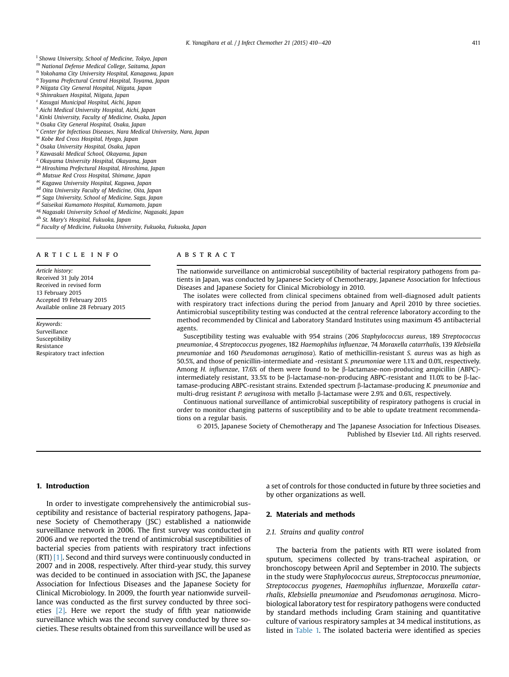- <span id="page-1-0"></span><sup>1</sup> Showa University, School of Medicine, Tokyo, Japan
- <sup>m</sup> National Defense Medical College, Saitama, Japan
- <sup>n</sup> Yokohama City University Hospital, Kanagawa, Japan
- <sup>o</sup> Toyama Prefectural Central Hospital, Toyama, Japan <sup>p</sup> Niigata City General Hospital, Niigata, Japan
- <sup>q</sup> Shinrakuen Hospital, Niigata, Japan
- <sup>r</sup> Kasugai Municipal Hospital, Aichi, Japan
- <sup>s</sup> Aichi Medical University Hospital, Aichi, Japan
- <sup>t</sup> Kinki University, Faculty of Medicine, Osaka, Japan
- <sup>u</sup> Osaka City General Hospital, Osaka, Japan
- <sup>v</sup> Center for Infectious Diseases, Nara Medical University, Nara, Japan
- <sup>w</sup> Kobe Red Cross Hospital, Hyogo, Japan
- <sup>x</sup> Osaka University Hospital, Osaka, Japan
- <sup>y</sup> Kawasaki Medical School, Okayama, Japan
- <sup>z</sup> Okayama University Hospital, Okayama, Japan
- aa Hiroshima Prefectural Hospital, Hiroshima, Japan
- ab Matsue Red Cross Hospital, Shimane, Japan
- ac Kagawa University Hospital, Kagawa, Japan
- ad Oita University Faculty of Medicine, Oita, Japan
- ae Saga University, School of Medicine, Saga, Japan
- af Saiseikai Kumamoto Hospital, Kumamoto, Japan
- ag Nagasaki University School of Medicine, Nagasaki, Japan
- ah St. Mary's Hospital, Fukuoka, Japan
- ai Faculty of Medicine, Fukuoka University, Fukuoka, Fukuoka, Japan

#### article info

Article history: Received 31 July 2014 Received in revised form 13 February 2015 Accepted 19 February 2015 Available online 28 February 2015

Keywords: Surveillance Susceptibility Resistance Respiratory tract infection

# ABSTRACT

The nationwide surveillance on antimicrobial susceptibility of bacterial respiratory pathogens from patients in Japan, was conducted by Japanese Society of Chemotherapy, Japanese Association for Infectious Diseases and Japanese Society for Clinical Microbiology in 2010.

The isolates were collected from clinical specimens obtained from well-diagnosed adult patients with respiratory tract infections during the period from January and April 2010 by three societies. Antimicrobial susceptibility testing was conducted at the central reference laboratory according to the method recommended by Clinical and Laboratory Standard Institutes using maximum 45 antibacterial agents.

Susceptibility testing was evaluable with 954 strains (206 Staphylococcus aureus, 189 Streptococcus pneumoniae, 4 Streptococcus pyogenes, 182 Haemophilus influenzae, 74 Moraxella catarrhalis, 139 Klebsiella pneumoniae and 160 Pseudomonas aeruginosa). Ratio of methicillin-resistant S. aureus was as high as 50.5%, and those of penicillin-intermediate and -resistant S. pneumoniae were 1.1% and 0.0%, respectively. Among H. influenzae, 17.6% of them were found to be  $\beta$ -lactamase-non-producing ampicillin (ABPC)intermediately resistant, 33.5% to be  $\beta$ -lactamase-non-producing ABPC-resistant and 11.0% to be  $\beta$ -lactamase-producing ABPC-resistant strains. Extended spectrum b-lactamase-producing K. pneumoniae and multi-drug resistant P. aeruginosa with metallo  $\beta$ -lactamase were 2.9% and 0.6%, respectively.

Continuous national surveillance of antimicrobial susceptibility of respiratory pathogens is crucial in order to monitor changing patterns of susceptibility and to be able to update treatment recommendations on a regular basis.

© 2015, Japanese Society of Chemotherapy and The Japanese Association for Infectious Diseases. Published by Elsevier Ltd. All rights reserved.

# 1. Introduction

In order to investigate comprehensively the antimicrobial susceptibility and resistance of bacterial respiratory pathogens, Japanese Society of Chemotherapy (JSC) established a nationwide surveillance network in 2006. The first survey was conducted in 2006 and we reported the trend of antimicrobial susceptibilities of bacterial species from patients with respiratory tract infections (RTI) [\[1\]](#page-10-0). Second and third surveys were continuously conducted in 2007 and in 2008, respectively. After third-year study, this survey was decided to be continued in association with JSC, the Japanese Association for Infectious Diseases and the Japanese Society for Clinical Microbiology. In 2009, the fourth year nationwide surveillance was conducted as the first survey conducted by three societies [\[2\]](#page-10-0). Here we report the study of fifth year nationwide surveillance which was the second survey conducted by three societies. These results obtained from this surveillance will be used as

a set of controls for those conducted in future by three societies and by other organizations as well.

## 2. Materials and methods

#### 2.1. Strains and quality control

The bacteria from the patients with RTI were isolated from sputum, specimens collected by trans-tracheal aspiration, or bronchoscopy between April and September in 2010. The subjects in the study were Staphylococcus aureus, Streptococcus pneumoniae, Streptococcus pyogenes, Haemophilus influenzae, Moraxella catarrhalis, Klebsiella pneumoniae and Pseudomonas aeruginosa. Microbiological laboratory test for respiratory pathogens were conducted by standard methods including Gram staining and quantitative culture of various respiratory samples at 34 medical institutions, as listed in [Table 1.](#page-2-0) The isolated bacteria were identified as species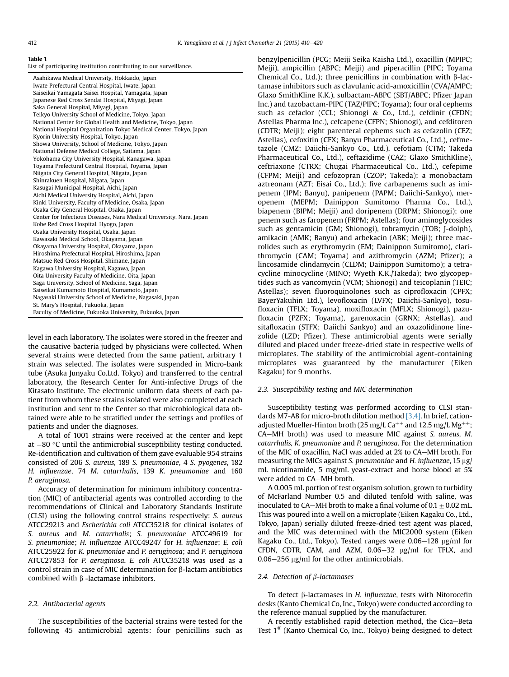<span id="page-2-0"></span>

|  |  |  |  | List of participating institution contributing to our surveillance. |
|--|--|--|--|---------------------------------------------------------------------|
|--|--|--|--|---------------------------------------------------------------------|

| Asahikawa Medical University, Hokkaido, Japan                        |
|----------------------------------------------------------------------|
| Iwate Prefectural Central Hospital, Iwate, Japan                     |
| Saiseikai Yamagata Saisei Hospital, Yamagata, Japan                  |
| Japanese Red Cross Sendai Hospital, Miyagi, Japan                    |
| Saka General Hospital, Miyagi, Japan                                 |
| Teikyo University School of Medicine, Tokyo, Japan                   |
| National Center for Global Health and Medicine, Tokyo, Japan         |
| National Hospital Organization Tokyo Medical Center, Tokyo, Japan    |
| Kyorin University Hospital, Tokyo, Japan                             |
| Showa University, School of Medicine, Tokyo, Japan                   |
| National Defense Medical College, Saitama, Japan                     |
| Yokohama City University Hospital, Kanagawa, Japan                   |
| Toyama Prefectural Central Hospital, Toyama, Japan                   |
| Niigata City General Hospital, Niigata, Japan                        |
| Shinrakuen Hospital, Niigata, Japan                                  |
| Kasugai Municipal Hospital, Aichi, Japan                             |
| Aichi Medical University Hospital, Aichi, Japan                      |
| Kinki University, Faculty of Medicine, Osaka, Japan                  |
| Osaka City General Hospital, Osaka, Japan                            |
| Center for Infectious Diseases, Nara Medical University, Nara, Japan |
| Kobe Red Cross Hospital, Hyogo, Japan                                |
| Osaka University Hospital, Osaka, Japan                              |
| Kawasaki Medical School, Okayama, Japan                              |
| Okayama University Hospital, Okayama, Japan                          |
| Hiroshima Prefectural Hospital, Hiroshima, Japan                     |
| Matsue Red Cross Hospital, Shimane, Japan                            |
| Kagawa University Hospital, Kagawa, Japan                            |
| Oita University Faculty of Medicine, Oita, Japan                     |
| Saga University, School of Medicine, Saga, Japan                     |
| Saiseikai Kumamoto Hospital, Kumamoto, Japan                         |
| Nagasaki University School of Medicine, Nagasaki, Japan              |
| St. Mary's Hospital, Fukuoka, Japan                                  |
| Faculty of Medicine, Fukuoka University, Fukuoka, Japan              |

level in each laboratory. The isolates were stored in the freezer and the causative bacteria judged by physicians were collected. When several strains were detected from the same patient, arbitrary 1 strain was selected. The isolates were suspended in Micro-bank tube (Asuka Junyaku Co.Ltd. Tokyo) and transferred to the central laboratory, the Research Center for Anti-infective Drugs of the Kitasato Institute. The electronic uniform data sheets of each patient from whom these strains isolated were also completed at each institution and sent to the Center so that microbiological data obtained were able to be stratified under the settings and profiles of patients and under the diagnoses.

A total of 1001 strains were received at the center and kept at  $-80$  °C until the antimicrobial susceptibility testing conducted. Re-identification and cultivation of them gave evaluable 954 strains consisted of 206 S. aureus, 189 S. pneumoniae, 4 S. pyogenes, 182 H. influenzae, 74 M. catarrhalis, 139 K. pneumoniae and 160 P. aeruginosa.

Accuracy of determination for minimum inhibitory concentration (MIC) of antibacterial agents was controlled according to the recommendations of Clinical and Laboratory Standards Institute (CLSI) using the following control strains respectively: S. aureus ATCC29213 and Escherichia coli ATCC35218 for clinical isolates of S. aureus and M. catarrhalis; S. pneumoniae ATCC49619 for S. pneumoniae; H. influenzae ATCC49247 for H. influenzae; E. coli ATCC25922 for K. pneumoniae and P. aeruginosa; and P. aeruginosa ATCC27853 for P. aeruginosa. E. coli ATCC35218 was used as a control strain in case of MIC determination for  $\beta$ -lactam antibiotics combined with  $\beta$  -lactamase inhibitors.

# 2.2. Antibacterial agents

The susceptibilities of the bacterial strains were tested for the following 45 antimicrobial agents: four penicillins such as benzylpenicillin (PCG; Meiji Seika Kaisha Ltd.), oxacillin (MPIPC; Meiji), ampicillin (ABPC; Meiji) and piperacillin (PIPC; Toyama Chemical Co., Ltd.); three penicillins in combination with  $\beta$ -lactamase inhibitors such as clavulanic acid-amoxicillin (CVA/AMPC; Glaxo SmithKline K.K.), sulbactam-ABPC (SBT/ABPC; Pfizer Japan Inc.) and tazobactam-PIPC (TAZ/PIPC; Toyama); four oral cephems such as cefaclor (CCL; Shionogi & Co., Ltd.), cefdinir (CFDN; Astellas Pharma Inc.), cefcapene (CFPN; Shionogi), and cefditoren (CDTR; Meiji); eight parenteral cephems such as cefazolin (CEZ; Astellas), cefoxitin (CFX; Banyu Pharmaceutical Co., Ltd.), cefmetazole (CMZ; Daiichi-Sankyo Co., Ltd.), cefotiam (CTM; Takeda Pharmaceutical Co., Ltd.), ceftazidime (CAZ; Glaxo SmithKline), ceftriaxone (CTRX; Chugai Pharmaceutical Co., Ltd.), cefepime (CFPM; Meiji) and cefozopran (CZOP; Takeda); a monobactam aztreonam (AZT; Eisai Co., Ltd.); five carbapenems such as imipenem (IPM; Banyu), panipenem (PAPM; Daiichi-Sankyo), meropenem (MEPM; Dainippon Sumitomo Pharma Co., Ltd.), biapenem (BIPM; Meiji) and doripenem (DRPM; Shionogi); one penem such as faropenem (FRPM; Astellas); four aminoglycosides such as gentamicin (GM; Shionogi), tobramycin (TOB; J-dolph), amikacin (AMK; Banyu) and arbekacin (ABK; Meiji); three macrolides such as erythromycin (EM; Dainippon Sumitomo), clarithromycin (CAM; Toyama) and azithromycin (AZM; Pfizer); a lincosamide clindamycin (CLDM; Dainippon Sumitomo); a tetracycline minocycline (MINO; Wyeth K.K./Takeda); two glycopeptides such as vancomycin (VCM; Shionogi) and teicoplanin (TEIC; Astellas); seven fluoroquinolones such as ciprofloxacin (CPFX; BayerYakuhin Ltd.), levofloxacin (LVFX; Daiichi-Sankyo), tosufloxacin (TFLX; Toyama), moxifloxacin (MFLX; Shionogi), pazufloxacin (PZFX; Toyama), garenoxacin (GRNX; Astellas), and sitafloxacin (STFX; Daiichi Sankyo) and an oxazolidinone linezolide (LZD; Pfizer). These antimicrobial agents were serially diluted and placed under freeze-dried state in respective wells of microplates. The stability of the antimicrobial agent-containing microplates was guaranteed by the manufacturer (Eiken Kagaku) for 9 months.

# 2.3. Susceptibility testing and MIC determination

Susceptibility testing was performed according to CLSI standards M7-A8 for micro-broth dilution method  $[3,4]$ . In brief, cationadjusted Mueller-Hinton broth (25 mg/L Ca<sup>++</sup> and 12.5 mg/L Mg<sup>++</sup>; CA-MH broth) was used to measure MIC against S. aureus, M. catarrhalis, K. pneumoniae and P. aeruginosa. For the determination of the MIC of oxacillin, NaCl was added at 2% to CA-MH broth. For measuring the MICs against S. pneumoniae and H. influenzae, 15 µg/ mL nicotinamide, 5 mg/mL yeast-extract and horse blood at 5% were added to CA-MH broth.

A 0.005 mL portion of test organism solution, grown to turbidity of McFarland Number 0.5 and diluted tenfold with saline, was inoculated to CA-MH broth to make a final volume of  $0.1 \pm 0.02$  mL. This was poured into a well on a microplate (Eiken Kagaku Co., Ltd., Tokyo, Japan) serially diluted freeze-dried test agent was placed, and the MIC was determined with the MIC2000 system (Eiken Kagaku Co., Ltd., Tokyo). Tested ranges were  $0.06-128$  µg/ml for CFDN, CDTR, CAM, and AZM, 0.06-32 µg/ml for TFLX, and  $0.06-256$  µg/ml for the other antimicrobials.

#### 2.4. Detection of  $\beta$ -lactamases

To detect  $\beta$ -lactamases in *H. influenzae*, tests with Nitorocefin desks (Kanto Chemical Co, Inc., Tokyo) were conducted according to the reference manual supplied by the manufacturer.

A recently established rapid detection method, the Cica-Beta Test 1® (Kanto Chemical Co, Inc., Tokyo) being designed to detect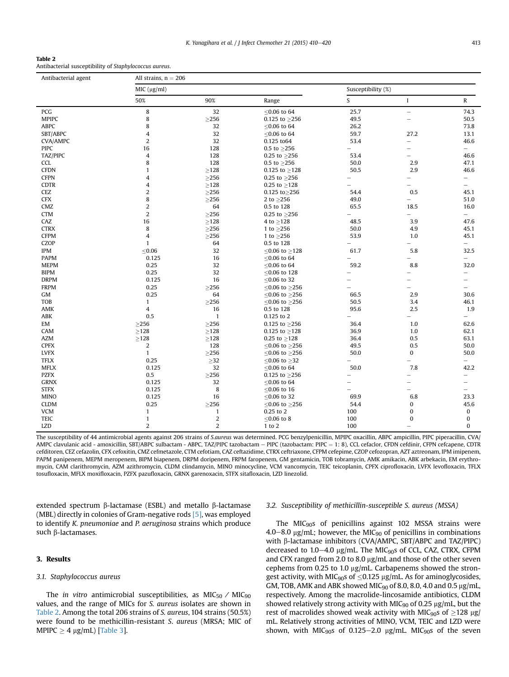Antibacterial susceptibility of Staphylococcus aureus.

| MIC (µg/ml)<br>Susceptibility (%)<br>S<br>50%<br>90%<br>Range<br>$\bf{I}$<br>8<br>PCG<br>32<br>$< 0.06$ to 64<br>25.7<br>$\overline{\phantom{0}}$ | R<br>74.3<br>50.5<br>73.8 |
|---------------------------------------------------------------------------------------------------------------------------------------------------|---------------------------|
|                                                                                                                                                   |                           |
|                                                                                                                                                   |                           |
|                                                                                                                                                   |                           |
| 8<br><b>MPIPC</b><br>$\geq$ 256<br>0.125 to $\geq$ 256<br>49.5<br>$\overline{\phantom{0}}$                                                        |                           |
| 8<br>ABPC<br>32<br>26.2<br>≤0.06 to 64                                                                                                            |                           |
| 4<br>32<br>59.7<br>SBT/ABPC<br>≤0.06 to 64<br>27.2                                                                                                | 13.1                      |
| $\overline{2}$<br>32<br>53.4<br><b>CVA/AMPC</b><br>0.125 to 64<br>$\overline{\phantom{0}}$                                                        | 46.6                      |
| <b>PIPC</b><br>16<br>128<br>0.5 to $\geq$ 256<br>$\overline{\phantom{0}}$<br>-                                                                    | $-$                       |
| $\overline{4}$<br>128<br>TAZ/PIPC<br>53.4<br>0.25 to $\geq$ 256<br>-                                                                              | 46.6                      |
| 8<br>128<br>CCL<br>50.0<br>2.9<br>0.5 to $\geq$ 256                                                                                               | 47.1                      |
| ${\geq}128$<br>2.9<br><b>CFDN</b><br>$\mathbf{1}$<br>50.5<br>0.125 to $\geq$ 128                                                                  | 46.6                      |
| <b>CFPN</b><br>4<br>$\geq$ 256<br>0.25 to $\geq$ 256                                                                                              | $\equiv$                  |
| <b>CDTR</b><br>$\overline{4}$<br>$\geq$ 128<br>0.25 to $\geq$ 128                                                                                 | $\overline{\phantom{0}}$  |
| $\overline{2}$<br>CEZ<br>$\geq$ 256<br>$0.125$ to $\geq$ 256<br>54.4<br>0.5                                                                       | 45.1                      |
| 8<br><b>CFX</b><br>$\geq$ 256<br>2 to $\geq$ 256<br>49.0<br>$\overline{\phantom{0}}$                                                              | 51.0                      |
| $\overline{2}$<br>CMZ<br>64<br>0.5 to 128<br>65.5<br>18.5                                                                                         | 16.0                      |
| $\overline{2}$<br><b>CTM</b><br>$\geq$ 256<br>0.25 to $\geq$ 256<br>$\equiv$                                                                      | $-$                       |
| CAZ<br>16<br>${\geq}128$<br>48.5<br>3.9<br>4 to $\geq$ 128                                                                                        | 47.6                      |
| 8<br>4.9<br><b>CTRX</b><br>${\geq}256$<br>1 to $\geq$ 256<br>50.0                                                                                 | 45.1                      |
| <b>CFPM</b><br>$\overline{4}$<br>$\geq$ 256<br>53.9<br>1.0<br>1 to $\geq$ 256                                                                     | 45.1                      |
| <b>CZOP</b><br>$\mathbf{1}$<br>64<br>0.5 to 128<br>$\overline{\phantom{0}}$                                                                       | $\qquad \qquad -$         |
| $\leq$ 0.06<br>32<br><b>IPM</b><br>61.7<br>5.8<br>$< 0.06$ to $> 128$                                                                             | 32.5                      |
| <b>PAPM</b><br>16<br>0.125<br>≤0.06 to 64<br>$\overline{\phantom{0}}$<br>$\overline{\phantom{0}}$                                                 | $\overline{\phantom{0}}$  |
| <b>MEPM</b><br>32<br>0.25<br>59.2<br>8.8<br>≤0.06 to 64                                                                                           | 32.0                      |
| 32<br><b>BIPM</b><br>0.25<br>≤0.06 to 128<br>$\overline{\phantom{0}}$                                                                             | $\overline{\phantom{0}}$  |
| 16<br><b>DRPM</b><br>0.125<br>≤0.06 to 32                                                                                                         | -                         |
| <b>FRPM</b><br>0.25<br>$\geq$ 256<br>≤0.06 to $≥$ 256                                                                                             | -                         |
| 0.25<br>64<br>66.5<br>2.9<br>GM<br>≤0.06 to $≥$ 256                                                                                               | 30.6                      |
| <b>TOB</b><br>$\geq$ 256<br>50.5<br>3.4<br>$\mathbf{1}$<br>≤0.06 to $≥$ 256                                                                       | 46.1                      |
| AMK<br>4<br>16<br>95.6<br>2.5<br>0.5 to 128                                                                                                       | 1.9                       |
| ABK<br>0.5<br>$\mathbf{1}$<br>0.125 to 2                                                                                                          | $\overline{\phantom{0}}$  |
| EM<br>$\geq$ 256<br>$\geq$ 256<br>36.4<br>1.0<br>0.125 to $\geq$ 256                                                                              | 62.6                      |
| $\geq$ 128<br>${\geq}128$<br>36.9<br>1.0<br>CAM<br>0.125 to $\geq$ 128                                                                            | 62.1                      |
| <b>AZM</b><br>${\geq}128$<br>$\geq$ 128<br>0.5<br>36.4<br>0.25 to $\geq$ 128                                                                      | 63.1                      |
| $\boldsymbol{2}$<br><b>CPFX</b><br>128<br>49.5<br>0.5<br>$< 0.06$ to $> 256$                                                                      | 50.0                      |
| <b>LVFX</b><br>$\mathbf{1}$<br>$\geq$ 256<br>50.0<br>0<br>≤0.06 to $≥$ 256                                                                        | 50.0                      |
| 0.25<br>$\geq$ 32<br><b>TFLX</b><br>$\leq$ 0.06 to $\geq$ 32<br>$\overline{\phantom{0}}$                                                          | $\overline{\phantom{0}}$  |
| 32<br>0.125<br>50.0<br>7.8<br><b>MFLX</b><br>≤0.06 to 64                                                                                          | 42.2                      |
| <b>PZFX</b><br>0.5<br>${\geq}256$<br>0.125 to $\geq$ 256<br>$\overline{\phantom{0}}$<br>$\overline{\phantom{0}}$                                  | <u>.</u>                  |
| 0.125<br>32<br><b>GRNX</b><br>≤0.06 to 64<br>$\overline{\phantom{0}}$                                                                             |                           |
| 8<br><b>STFX</b><br>0.125<br>≤0.06 to 16<br>$\overline{\phantom{0}}$                                                                              | $\overline{\phantom{0}}$  |
| <b>MINO</b><br>0.125<br>16<br>69.9<br>$< 0.06$ to 32<br>6.8                                                                                       | 23.3                      |
| <b>CLDM</b><br>0.25<br>${\geq}256$<br>54.4<br>≤0.06 to $≥$ 256<br>0                                                                               | 45.6                      |
| <b>VCM</b><br>0.25 to 2<br>100<br>$\mathbf{1}$<br>$\mathbf{1}$<br>0                                                                               | $\pmb{0}$                 |
| $\mathbf{1}$<br>2<br><b>TEIC</b><br>${\leq}0.06$ to $8$<br>100<br>0                                                                               | $\pmb{0}$                 |
| $\overline{2}$<br>$\overline{2}$<br>LZD<br>100<br>1 to 2<br>$\overline{\phantom{0}}$                                                              | $\mathbf{0}$              |

The susceptibility of 44 antimicrobial agents against 206 strains of S.aureus was determined. PCG benzylpenicillin, MPIPC oxacillin, ABPC ampicillin, PIPC piperacillin, CVA/ AMPC clavulanic acid - amoxicillin, SBT/ABPC sulbactam - ABPC, TAZ/PIPC tazobactam - PIPC (tazobactam: PIPC = 1: 8), CCL cefaclor, CFDN cefdinir, CFPN cefcapene, CDTR cefditoren, CEZ cefazolin, CFX cefoxitin, CMZ cefmetazole, CTM cefotiam, CAZ ceftazidime, CTRX ceftriaxone, CFPM cefepime, CZOP cefozopran, AZT aztreonam, IPM imipenem, PAPM panipenem, MEPM meropenem, BIPM biapenem, DRPM doripenem, FRPM faropenem, GM gentamicin, TOB tobramycin, AMK amikacin, ABK arbekacin, EM erythromycin, CAM clarithromycin, AZM azithromycin, CLDM clindamycin, MINO minocycline, VCM vancomycin, TEIC teicoplanin, CPFX ciprofloxacin, LVFX levofloxacin, TFLX tosufloxacin, MFLX moxifloxacin, PZFX pazufloxacin, GRNX garenoxacin, STFX sitafloxacin, LZD linezolid.

extended spectrum  $\beta$ -lactamase (ESBL) and metallo  $\beta$ -lactamase (MBL) directly in colonies of Gram-negative rods [\[5\],](#page-10-0) was employed to identify K. pneumoniae and P. aeruginosa strains which produce such  $\beta$ -lactamases.

# 3. Results

# 3.1. Staphylococcus aureus

The in vitro antimicrobial susceptibilities, as  $MIC_{50}$  /  $MIC_{90}$ values, and the range of MICs for S. aureus isolates are shown in Table 2. Among the total 206 strains of S. aureus, 104 strains (50.5%) were found to be methicillin-resistant S. aureus (MRSA; MIC of MPIPC  $\geq$  4 µg/mL) [[Table 3\]](#page-4-0).

#### 3.2. Susceptibility of methicillin-susceptible S. aureus (MSSA)

The MIC $_{90}$ s of penicillins against 102 MSSA strains were 4.0–8.0  $\mu$ g/mL; however, the MIC<sub>90</sub> of penicillins in combinations with  $\beta$ -lactamase inhibitors (CVA/AMPC, SBT/ABPC and TAZ/PIPC) decreased to  $1.0-4.0$  µg/mL. The MIC<sub>90</sub>s of CCL, CAZ, CTRX, CFPM and CFX ranged from 2.0 to 8.0  $\mu$ g/mL and those of the other seven cephems from 0.25 to 1.0  $\mu$ g/mL. Carbapenems showed the strongest activity, with MIC<sub>90</sub>s of  $\leq$ 0.125 µg/mL. As for aminoglycosides, GM, TOB, AMK and ABK showed MIC $_{90}$  of 8.0, 8.0, 4.0 and 0.5  $\mu$ g/mL, respectively. Among the macrolide-lincosamide antibiotics, CLDM showed relatively strong activity with MIC $_{90}$  of 0.25  $\mu$ g/mL, but the rest of macrolides showed weak activity with MIC<sub>90</sub>s of  $\geq$ 128 µg/ mL. Relatively strong activities of MINO, VCM, TEIC and LZD were shown, with MIC<sub>90</sub>s of 0.125–2.0  $\mu$ g/mL. MIC<sub>90</sub>s of the seven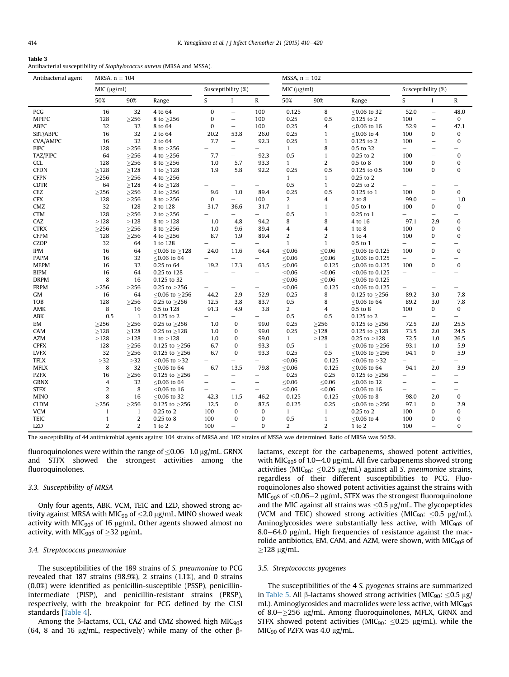<span id="page-4-0"></span>Antibacterial susceptibility of Staphylococcus aureus (MRSA and MSSA).

| Antibacterial agent |                | $MRSA$ , $n = 104$<br>$MSSA, n = 102$ |                           |                          |                          |                          |                  |                |                     |                          |                          |                          |
|---------------------|----------------|---------------------------------------|---------------------------|--------------------------|--------------------------|--------------------------|------------------|----------------|---------------------|--------------------------|--------------------------|--------------------------|
|                     | MIC (µg/ml)    |                                       |                           |                          | Susceptibility (%)       |                          | MIC (µg/ml)      |                |                     |                          | Susceptibility (%)       |                          |
|                     | 50%            | 90%                                   | Range                     | S.                       | $\mathbf{I}$             | ${\bf R}$                | 50%              | 90%            | Range               | S.                       | $\mathbf{I}$             | $\mathbb{R}$             |
| PCG                 | 16             | 32                                    | 4 to 64                   | $\mathbf{0}$             | $\overline{\phantom{0}}$ | 100                      | 0.125            | 8              | $< 0.06$ to 32      | 52.0                     | $\overline{\phantom{0}}$ | 48.0                     |
| <b>MPIPC</b>        | 128            | $\geq$ 256                            | 8 to ≥256                 | $\bf{0}$                 | $\qquad \qquad -$        | 100                      | 0.25             | 0.5            | 0.125 to 2          | 100                      | $\qquad \qquad -$        | 0                        |
| <b>ABPC</b>         | 32             | 32                                    | 8 to 64                   | $\mathbf{0}$             | $\qquad \qquad -$        | 100                      | 0.25             | 4              | $\leq$ 0.06 to 16   | 52.9                     | $\overline{\phantom{0}}$ | 47.1                     |
| SBT/ABPC            | 16             | 32                                    | 2 to 64                   | 20.2                     | 53.8                     | 26.0                     | 0.25             | 1              | $\leq$ 0.06 to 4    | 100                      | $\mathbf{0}$             | 0                        |
| <b>CVA/AMPC</b>     | 16             | 32                                    | 2 to 64                   | 7.7                      | $\overline{\phantom{0}}$ | 92.3                     | 0.25             | $\mathbf{1}$   | 0.125 to 2          | 100                      | $\overline{\phantom{0}}$ | $\mathbf{0}$             |
| <b>PIPC</b>         | 128            | $\geq$ 256                            | 8 to $\geq$ 256           |                          |                          |                          | $\mathbf{1}$     | 8              | 0.5 to 32           | $\overline{\phantom{0}}$ | ÷                        | -                        |
| TAZ/PIPC            | 64             | >256                                  | 4 to ≥256                 | 7.7                      | $\overline{\phantom{0}}$ | 92.3                     | 0.5              | 1              | 0.25 to 2           | 100                      | $\overline{\phantom{0}}$ | $\bf{0}$                 |
| <b>CCL</b>          | 128            | $\geq$ 256                            | 8 to $\geq$ 256           | 1.0                      | 5.7                      | 93.3                     | $\mathbf{1}$     | 2              | 0.5 to 8            | 100                      | 0                        | $\bf{0}$                 |
| <b>CFDN</b>         | $\geq$ 128     | >128                                  | 1 to $\geq$ 128           | 1.9                      | 5.8                      | 92.2                     | 0.25             | 0.5            | 0.125 to 0.5        | 100                      | $\bf{0}$                 | $\Omega$                 |
| <b>CFPN</b>         | $\geq$ 256     | $\geq$ 256                            | 4 to $\geq$ 256           |                          | $\overline{\phantom{0}}$ |                          | $\mathbf{1}$     | $\mathbf{1}$   | 0.25 to 2           | $\overline{\phantom{0}}$ | $\overline{\phantom{0}}$ |                          |
| <b>CDTR</b>         | 64             | >128                                  | 4 to $\geq$ 128           |                          |                          |                          | 0.5              | $\mathbf{1}$   | 0.25 to 2           | $\overline{\phantom{0}}$ | $\overline{\phantom{0}}$ |                          |
| CEZ                 | $\geq$ 256     | >256                                  | 2 to $\geq$ 256           | 9.6                      | 1.0                      | 89.4                     | 0.25             | 0.5            | 0.125 to 1          | 100                      | 0                        | $\bf{0}$                 |
| <b>CFX</b>          | 128            | >256                                  | 8 to $>256$               | $\mathbf{0}$             | $\overline{\phantom{0}}$ | 100                      | $\overline{2}$   | 4              | 2 to 8              | 99.0                     | $\overline{\phantom{0}}$ | 1.0                      |
| CMZ                 | 32             | 128                                   | 2 to 128                  | 31.7                     | 36.6                     | 31.7                     | $\mathbf{1}$     | $\mathbf{1}$   | 0.5 to 1            | 100                      | 0                        | 0                        |
| <b>CTM</b>          | 128            | >256                                  | 2 to $\geq$ 256           |                          |                          | $\qquad \qquad -$        | 0.5              | $\mathbf{1}$   | 0.25 to 1           |                          | $\overline{\phantom{0}}$ | -                        |
| CAZ                 | $\geq$ 128     | $\geq$ 128                            | 8 to $\geq$ 128           | 1.0                      | 4.8                      | 94.2                     | 8                | 8              | 4 to 16             | 97.1                     | 2.9                      | $\bf{0}$                 |
| <b>CTRX</b>         | $\geq$ 256     | >256                                  | 8 to ≥256                 | 1.0                      | 9.6                      | 89.4                     | $\overline{4}$   | 4              | 1 to 8              | 100                      | $\mathbf{0}$             | 0                        |
| <b>CFPM</b>         | 128            | $\geq$ 256                            | 4 to $\geq$ 256           | 8.7                      | 1.9                      | 89.4                     | $\boldsymbol{2}$ | $\overline{2}$ | $1$ to $4$          | 100                      | 0                        | $\mathbf{0}$             |
| <b>CZOP</b>         | 32             | 64                                    | 1 to 128                  | $\overline{\phantom{0}}$ |                          |                          | $\mathbf{1}$     | $\mathbf{1}$   | 0.5 to 1            | $\overline{\phantom{0}}$ | $\overline{\phantom{0}}$ |                          |
| <b>IPM</b>          | 16             | 64                                    | $≤0.06$ to $≥128$         | 24.0                     | 11.6                     | 64.4                     | $\leq$ 0.06      | $≤0.06$        | ≤0.06 to 0.125      | 100                      | 0                        | $\mathbf{0}$             |
| <b>PAPM</b>         | 16             | 32                                    | $<$ 0.06 to 64            |                          | $\qquad \qquad -$        | $\overline{\phantom{0}}$ | $\leq 0.06$      | < 0.06         | $<$ 0.06 to 0.125   | $\qquad \qquad -$        |                          | $\overline{\phantom{0}}$ |
| <b>MEPM</b>         | 16             | 32                                    | 0.25 to 64                | 19.2                     | 17.3                     | 63.5                     | $\leq 0.06$      | 0.125          | ≤0.06 to 0.125      | 100                      | 0                        | $\mathbf{0}$             |
| <b>BIPM</b>         | 16             | 64                                    | 0.25 to 128               | $\overline{\phantom{0}}$ |                          |                          | < 0.06           | < 0.06         | $<$ 0.06 to 0.125   | $\qquad \qquad -$        | ÷                        |                          |
| <b>DRPM</b>         | 8              | 16                                    | 0.125 to 32               | $\overline{\phantom{0}}$ |                          | $\overline{\phantom{0}}$ | $≤0.06$          | ≤ $0.06$       | ≤0.06 to 0.125      | $\overline{\phantom{0}}$ |                          |                          |
| <b>FRPM</b>         | $\geq$ 256     | $\geq$ 256                            | 0.25 to $\geq$ 256        | $\qquad \qquad -$        | $\qquad \qquad -$        | $\qquad \qquad -$        | $\leq 0.06$      | 0.125          | ≤0.06 to 0.125      | $\overline{\phantom{0}}$ | $\overline{\phantom{0}}$ |                          |
| GM                  | 16             | 64                                    | $\leq$ 0.06 to $\geq$ 256 | 44.2                     | 2.9                      | 52.9                     | 0.25             | 8              | 0.125 to $\geq$ 256 | 89.2                     | 3.0                      | 7.8                      |
| <b>TOB</b>          | 128            | $\geq$ 256                            | 0.25 to $\geq$ 256        | 12.5                     | 3.8                      | 83.7                     | 0.5              | 8              | $\leq$ 0.06 to 64   | 89.2                     | 3.0                      | 7.8                      |
| AMK                 | 8              | 16                                    | 0.5 to 128                | 91.3                     | 4.9                      | 3.8                      | 2                | 4              | 0.5 to 8            | 100                      | $\mathbf{0}$             | $\mathbf 0$              |
| ABK                 | 0.5            | $\mathbf{1}$                          | 0.125 to 2                |                          | $\overline{\phantom{0}}$ | $\overline{\phantom{0}}$ | 0.5              | 0.5            | 0.125 to 2          | $\overline{\phantom{0}}$ | $\qquad \qquad -$        |                          |
| EM                  | $\geq$ 256     | >256                                  | 0.25 to $\geq$ 256        | 1.0                      | $\mathbf{0}$             | 99.0                     | 0.25             | $\geq$ 256     | 0.125 to $\geq$ 256 | 72.5                     | 2.0                      | 25.5                     |
| CAM                 | $\geq$ 128     | $\geq$ 128                            | 0.25 to $\geq$ 128        | 1.0                      | 0                        | 99.0                     | 0.25             | $\geq$ 128     | 0.125 to $\geq$ 128 | 73.5                     | 2.0                      | 24.5                     |
| <b>AZM</b>          | $\geq$ 128     | $\geq$ 128                            | 1 to $\geq$ 128           | 1.0                      | 0                        | 99.0                     | $\mathbf{1}$     | ${\geq}128$    | 0.25 to $\geq$ 128  | 72.5                     | 1.0                      | 26.5                     |
| <b>CPFX</b>         | 128            | $\geq$ 256                            | 0.125 to $\geq$ 256       | 6.7                      | $\bf{0}$                 | 93.3                     | 0.5              | $\mathbf{1}$   | ≤0.06 to $≥$ 256    | 93.1                     | 1.0                      | 5.9                      |
| <b>LVFX</b>         | 32             | $\geq$ 256                            | 0.125 to $\geq$ 256       | 6.7                      | $\bf{0}$                 | 93.3                     | 0.25             | 0.5            | ≤0.06 to $≥$ 256    | 94.1                     | 0                        | 5.9                      |
| <b>TFLX</b>         | $\geq$ 32      | $\geq$ 32                             | ≤0.06 to $≥32$            | $\overline{\phantom{0}}$ | $\overline{\phantom{0}}$ | $\overline{\phantom{0}}$ | $≤0.06$          | 0.125          | ≤0.06 to $≥32$      | $\overline{\phantom{0}}$ | $\overline{\phantom{0}}$ | $\overline{\phantom{0}}$ |
| <b>MFLX</b>         | 8              | 32                                    | $< 0.06$ to 64            | 6.7                      | 13.5                     | 79.8                     | $≤0.06$          | 0.125          | $\leq$ 0.06 to 64   | 94.1                     | 2.0                      | 3.9                      |
| <b>PZFX</b>         | 16             | $\geq$ 256                            | 0.125 to $\geq$ 256       | $\overline{\phantom{0}}$ | $\overline{\phantom{0}}$ | $\equiv$                 | 0.25             | 0.25           | 0.125 to $\geq$ 256 | $\overline{\phantom{0}}$ | $\overline{\phantom{0}}$ | -                        |
| <b>GRNX</b>         | 4              | 32                                    | $< 0.06$ to 64            | $\overline{\phantom{0}}$ | $\overline{\phantom{0}}$ |                          | $\leq 0.06$      | < 0.06         | ${\le}0.06$ to 32   | L.                       | $\overline{\phantom{0}}$ |                          |
| <b>STFX</b>         | $\overline{2}$ | 8                                     | ≤0.06 to 16               | $\overline{\phantom{0}}$ | $\overline{\phantom{0}}$ | $\overline{\phantom{0}}$ | $≤0.06$          | ≤ $0.06$       | $\leq$ 0.06 to 16   | $\overline{\phantom{0}}$ | -                        | $\overline{\phantom{0}}$ |
| <b>MINO</b>         | 8              | 16                                    | $<$ 0.06 to 32            | 42.3                     | 11.5                     | 46.2                     | 0.125            | 0.125          | $< 0.06$ to 8       | 98.0                     | 2.0                      | $\mathbf{0}$             |
| <b>CLDM</b>         | $\geq$ 256     | $\geq$ 256                            | 0.125 to $\geq$ 256       | 12.5                     | $\mathbf{0}$             | 87.5                     | 0.125            | 0.25           | ≤0.06 to $≥$ 256    | 97.1                     | 0                        | 2.9                      |
| <b>VCM</b>          | $\mathbf{1}$   | $\mathbf{1}$                          | 0.25 to 2                 | 100                      | 0                        | $\mathbf{0}$             | $\mathbf{1}$     | $\mathbf{1}$   | 0.25 to 2           | 100                      | $\bf{0}$                 | 0                        |
| <b>TEIC</b>         | $\mathbf{1}$   | $\overline{2}$                        | 0.25 to 8                 | 100                      | 0                        | $\bf{0}$                 | 0.5              | $\mathbf{1}$   | $\leq$ 0.06 to 4    | 100                      | 0                        | 0                        |
| <b>LZD</b>          | $\overline{2}$ | 2                                     | $1$ to $2$                | 100                      | $\qquad \qquad -$        | $\bf{0}$                 | $\overline{2}$   | $\overline{2}$ | 1 to 2              | 100                      | $\overline{\phantom{0}}$ | 0                        |
|                     |                |                                       |                           |                          |                          |                          |                  |                |                     |                          |                          |                          |

The susceptibility of 44 antimicrobial agents against 104 strains of MRSA and 102 strains of MSSA was determined. Ratio of MRSA was 50.5%.

fluoroquinolones were within the range of  $\leq$ 0.06–1.0 µg/mL. GRNX and STFX showed the strongest activities among the fluoroquinolones.

## 3.3. Susceptibility of MRSA

Only four agents, ABK, VCM, TEIC and LZD, showed strong activity against MRSA with MIC<sub>90</sub> of  $\leq$ 2.0 µg/mL. MINO showed weak activity with MIC<sub>90</sub>s of 16  $\mu$ g/mL. Other agents showed almost no activity, with MIC<sub>90</sub>s of  $\geq$ 32 µg/mL.

## 3.4. Streptococcus pneumoniae

The susceptibilities of the 189 strains of S. pneumoniae to PCG revealed that 187 strains (98.9%), 2 strains (1.1%), and 0 strains (0.0%) were identified as penicillin-susceptible (PSSP), penicillinintermediate (PISP), and penicillin-resistant strains (PRSP), respectively, with the breakpoint for PCG defined by the CLSI standards [\[Table 4](#page-5-0)].

Among the  $\beta$ -lactams, CCL, CAZ and CMZ showed high MIC<sub>90</sub>s (64, 8 and 16  $\mu$ g/mL, respectively) while many of the other  $\beta$ - lactams, except for the carbapenems, showed potent activities, with MIC<sub>90</sub>s of 1.0–4.0 µg/mL. All five carbapenems showed strong activities (MIC<sub>90</sub>: <0.25  $\mu$ g/mL) against all S. *pneumoniae* strains, regardless of their different susceptibilities to PCG. Fluoroquinolones also showed potent activities against the strains with MIC $_{90}$ s of <0.06–2 µg/mL. STFX was the strongest fluoroquinolone and the MIC against all strains was  $\leq$ 0.5 µg/mL. The glycopeptides (VCM and TEIC) showed strong activities (MIC<sub>90</sub>:  $\leq$ 0.5 µg/mL). Aminoglycosides were substantially less active, with  $MIC_{90}$ s of  $8.0-64.0$  µg/mL. High frequencies of resistance against the macrolide antibiotics, EM, CAM, and AZM, were shown, with  $MIC_{90}$ s of  $>128 \mu g/mL$ .

## 3.5. Streptococcus pyogenes

The susceptibilities of the 4 S. pyogenes strains are summarized in [Table 5.](#page-6-0) All  $\beta$ -lactams showed strong activities (MIC<sub>90</sub>:  $\leq$ 0.5 µg/ mL). Aminoglycosides and macrolides were less active, with MIC<sub>90</sub>s of 8.0 $\geq$ 256 µg/mL. Among fluoroquinolones, MFLX, GRNX and STFX showed potent activities (MIC<sub>90</sub>:  $\leq$ 0.25 µg/mL), while the  $MIC_{90}$  of PZFX was 4.0 µg/mL.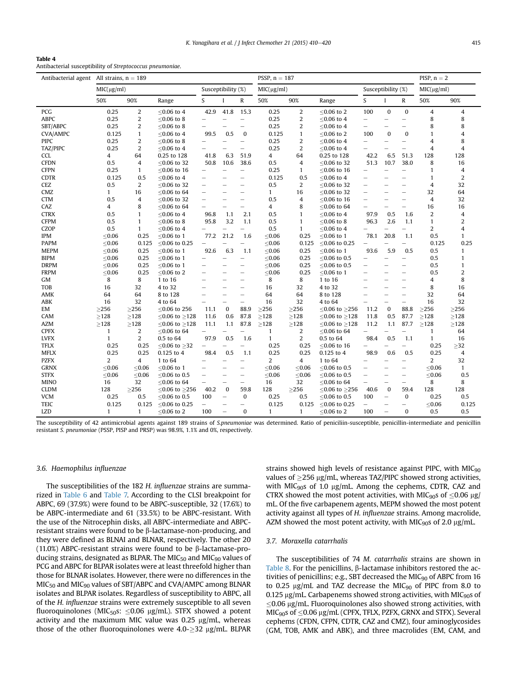<span id="page-5-0"></span>Antibacterial susceptibility of Streptococcus pneumoniae.

|                 | Antibacterial agent All strains, $n = 189$ |                |                           |                          |                          | PSSP, $n = 187$          |              |                |                           |                          | PISP, $n = 2$            |                          |                |                |  |
|-----------------|--------------------------------------------|----------------|---------------------------|--------------------------|--------------------------|--------------------------|--------------|----------------|---------------------------|--------------------------|--------------------------|--------------------------|----------------|----------------|--|
|                 | MIC(µg/ml)                                 |                |                           | Susceptibility (%)       |                          |                          | MIC(µg/ml)   |                |                           | Susceptibility (%)       |                          |                          | MIC(µg/ml)     |                |  |
|                 | 50%                                        | 90%            | Range                     | S.                       | $\mathbf{I}$             | $\mathbb{R}$             | 50%          | 90%            | Range                     | S                        | $\mathbf{I}$             | R                        | 50%            | 90%            |  |
| PCG             | 0.25                                       | $\overline{c}$ | $< 0.06$ to 4             | 42.9                     | 41.8                     | 15.3                     | 0.25         | $\overline{c}$ | $<$ 0.06 to 2             | 100                      | $\Omega$                 | $\mathbf{0}$             | 4              | 4              |  |
| <b>ABPC</b>     | 0.25                                       | $\overline{2}$ | $< 0.06$ to 8             |                          |                          | $\equiv$                 | 0.25         | 2              | $<$ 0.06 to 4             | $\overline{\phantom{0}}$ | -                        | $\overline{\phantom{0}}$ | 8              | 8              |  |
| SBT/ABPC        | 0.25                                       | $\overline{2}$ | $< 0.06$ to 8             |                          |                          |                          | 0.25         | 2              | $<$ 0.06 to 4             | $\overline{\phantom{0}}$ | L,                       | $\qquad \qquad -$        | 8              | 8              |  |
| <b>CVA/AMPC</b> | 0.125                                      | $\mathbf{1}$   | $\leq$ 0.06 to 4          | 99.5                     | 0.5                      | $\mathbf{0}$             | 0.125        | $\mathbf{1}$   | $\leq$ 0.06 to 2          | 100                      | $\bf{0}$                 | $\bf{0}$                 | $\mathbf{1}$   | 4              |  |
| <b>PIPC</b>     | 0.25                                       | $\overline{2}$ | $<$ 0.06 to 8             | $\overline{\phantom{0}}$ |                          | $\overline{\phantom{0}}$ | 0.25         | $\overline{2}$ | $<$ 0.06 to 4             | $\overline{\phantom{0}}$ | -                        | $\qquad \qquad -$        | $\overline{4}$ | 8              |  |
| TAZ/PIPC        | 0.25                                       | $\overline{2}$ | $< 0.06$ to 4             |                          |                          | $\overline{\phantom{0}}$ | 0.25         | 2              | $\leq$ 0.06 to 4          | $\overline{\phantom{0}}$ |                          | $\overline{\phantom{0}}$ | 4              | 4              |  |
| <b>CCL</b>      | 4                                          | 64             | 0.25 to 128               | 41.8                     | 6.3                      | 51.9                     | 4            | 64             | 0.25 to 128               | 42.2                     | 6.5                      | 51.3                     | 128            | 128            |  |
| <b>CFDN</b>     | 0.5                                        | $\overline{4}$ | ≤0.06 to 32               | 50.8                     | 10.6                     | 38.6                     | 0.5          | 4              | ≤0.06 to 32               | 51.3                     | 10.7                     | 38.0                     | 8              | 16             |  |
| <b>CFPN</b>     | 0.25                                       | 1              | $<$ 0.06 to 16            |                          |                          |                          | 0.25         | $\mathbf{1}$   | $<$ 0.06 to 16            | $\overline{\phantom{0}}$ |                          |                          | $\mathbf{1}$   | 4              |  |
| <b>CDTR</b>     | 0.125                                      | 0.5            | $\leq$ 0.06 to 4          | $\overline{\phantom{0}}$ |                          | $\overline{\phantom{0}}$ | 0.125        | 0.5            | $\leq$ 0.06 to 4          |                          |                          | $\overline{\phantom{0}}$ | $\mathbf{1}$   | $\overline{2}$ |  |
| CEZ             | 0.5                                        | 2              | $<$ 0.06 to 32            |                          |                          | $\overline{\phantom{0}}$ | 0.5          | 2              | $<$ 0.06 to 32            |                          |                          | $\overline{\phantom{0}}$ | $\overline{4}$ | 32             |  |
| CMZ             | $\mathbf{1}$                               | 16             | $< 0.06$ to 64            | $\overline{\phantom{0}}$ |                          |                          | $\mathbf{1}$ | 16             | $<$ 0.06 to 32            |                          |                          | $\overline{\phantom{0}}$ | 32             | 64             |  |
| <b>CTM</b>      | 0.5                                        | $\overline{4}$ | $<$ 0.06 to 32            |                          |                          | $\overline{\phantom{0}}$ | 0.5          | $\overline{4}$ | $<$ 0.06 to 16            | $\overline{\phantom{0}}$ | $\overline{\phantom{0}}$ | $\qquad \qquad -$        | $\overline{4}$ | 32             |  |
| CAZ             | 4                                          | 8              | $\leq$ 0.06 to 64         |                          |                          |                          | 4            | 8              | ≤0.06 to 64               |                          |                          | $\overline{\phantom{0}}$ | 16             | 16             |  |
| <b>CTRX</b>     | 0.5                                        | $\mathbf{1}$   | $< 0.06$ to 4             | 96.8                     | 1.1                      | 2.1                      | 0.5          | $\mathbf{1}$   | $< 0.06$ to 4             | 97.9                     | 0.5                      | 1.6                      | $\overline{2}$ | 4              |  |
| <b>CFPM</b>     | 0.5                                        | $\mathbf{1}$   | $\leq$ 0.06 to 8          | 95.8                     | 3.2                      | 1.1                      | 0.5          | $\mathbf{1}$   | $\leq$ 0.06 to 8          | 96.3                     | 2.6                      | 1,1                      | $\mathbf{1}$   | 2              |  |
| <b>CZOP</b>     | 0.5                                        | $\mathbf{1}$   | $<$ 0.06 to 4             | $\overline{\phantom{0}}$ |                          | $\equiv$                 | 0.5          | $\mathbf{1}$   | $<$ 0.06 to 4             |                          |                          |                          | $\overline{2}$ | $\overline{4}$ |  |
| <b>IPM</b>      | < 0.06                                     | 0.25           | $<$ 0.06 to 1             | 77.2                     | 21.2                     | 1.6                      | < 0.06       | 0.25           | $\leq$ 0.06 to 1          | 78.1                     | 20.8                     | 1.1                      | 0.5            | $\mathbf{1}$   |  |
| <b>PAPM</b>     | < 0.06                                     | 0.125          | $<$ 0.06 to 0.25          | $\overline{\phantom{0}}$ |                          |                          | < 0.06       | 0.125          | $<$ 0.06 to 0.25          |                          |                          |                          | 0.125          | 0.25           |  |
| <b>MEPM</b>     | < 0.06                                     | 0.25           | $<$ 0.06 to 1             | 92.6                     | 6.3                      | 1.1                      | < 0.06       | 0.25           | $<$ 0.06 to 1             | 93.6                     | 5.9                      | 0.5                      | 0.5            | $\mathbf{1}$   |  |
| <b>BIPM</b>     | < 0.06                                     | 0.25           | $<$ 0.06 to 1             |                          |                          | -                        | < 0.06       | 0.25           | $<$ 0.06 to 0.5           |                          |                          | $\overline{\phantom{0}}$ | 0.5            | $\mathbf{1}$   |  |
| <b>DRPM</b>     | ≤ $0.06$                                   | 0.25           | $\leq$ 0.06 to 1          | $\overline{\phantom{0}}$ |                          | $\equiv$                 | < 0.06       | 0.25           | ≤0.06 to 0.5              | $\overline{\phantom{0}}$ |                          | $\overline{\phantom{0}}$ | 0.5            | $\mathbf{1}$   |  |
| <b>FRPM</b>     | < 0.06                                     | 0.25           | $<$ 0.06 to 2             | $\overline{\phantom{0}}$ |                          | $\overline{\phantom{0}}$ | < 0.06       | 0.25           | $< 0.06$ to 1             |                          |                          | $\overline{\phantom{0}}$ | 0.5            | 2              |  |
| GM              | 8                                          | 8              | 1 to 16                   | L                        |                          | L.                       | 8            | 8              | 1 to 16                   |                          |                          | $\overline{\phantom{0}}$ | 4              | 8              |  |
| <b>TOB</b>      | 16                                         | 32             | 4 to 32                   | $\overline{\phantom{0}}$ |                          | $\overline{\phantom{0}}$ | 16           | 32             | 4 to 32                   |                          | -                        | $\overline{\phantom{0}}$ | 8              | 16             |  |
| AMK             | 64                                         | 64             | 8 to 128                  |                          |                          | $\overline{\phantom{a}}$ | 64           | 64             | 8 to 128                  |                          |                          | $\overline{\phantom{0}}$ | 32             | 64             |  |
| ABK             | 16                                         | 32             | 4 to 64                   | $\overline{\phantom{0}}$ |                          | $\overline{\phantom{0}}$ | 16           | 32             | 4 to 64                   | $\overline{\phantom{0}}$ | $\overline{\phantom{0}}$ | $\overline{\phantom{0}}$ | 16             | 32             |  |
| EM              | $\geq$ 256                                 | $\geq$ 256     | ≤0.06 to 256              | 11.1                     | $\bf{0}$                 | 88.9                     | >256         | $\geq$ 256     | ≤0.06 to ≥256             | 11.2                     | $\bf{0}$                 | 88.8                     | $\geq$ 256     | $\geq$ 256     |  |
| CAM             | $\geq$ 128                                 | $\geq$ 128     | $\leq$ 0.06 to $\geq$ 128 | 11.6                     | 0.6                      | 87.8                     | ${\geq}128$  | >128           | $<$ 0.06 to $>$ 128       | 11.8                     | 0.5                      | 87.7                     | $\geq$ 128     | $\geq$ 128     |  |
| AZM             | $\geq$ 128                                 | $\geq$ 128     | $\leq$ 0.06 to $\geq$ 128 | 11.1                     | 1.1                      | 87.8                     | $\geq$ 128   | $\geq$ 128     | $\leq$ 0.06 to $\geq$ 128 | 11.2                     | 1.1                      | 87.7                     | $\geq$ 128     | $\geq$ 128     |  |
| <b>CPFX</b>     | $\mathbf{1}$                               | 2              | $<$ 0.06 to 64            |                          |                          |                          | $\mathbf{1}$ | 2              | $<$ 0.06 to 64            |                          |                          |                          | 1              | 64             |  |
| <b>LVFX</b>     | $\mathbf{1}$                               | 2              | 0.5 to 64                 | 97.9                     | 0.5                      | 1.6                      | $\mathbf{1}$ | $\overline{2}$ | 0.5 to 64                 | 98.4                     | 0.5                      | 1.1                      | $\mathbf{1}$   | 16             |  |
| <b>TFLX</b>     | 0.25                                       | 0.25           | $< 0.06$ to $> 32$        |                          |                          |                          | 0.25         | 0.25           | $<$ 0.06 to 16            |                          |                          |                          | 0.25           | >32            |  |
| <b>MFLX</b>     | 0.25                                       | 0.25           | 0.125 to 4                | 98.4                     | 0.5                      | 1.1                      | 0.25         | 0.25           | 0.125 to 4                | 98.9                     | 0.6                      | 0.5                      | 0.25           | 4              |  |
| <b>PZFX</b>     | 2                                          | $\overline{4}$ | 1 to 64                   | $\equiv$                 |                          | $\equiv$                 | 2            | 4              | 1 to 64                   | $\overline{\phantom{0}}$ | -                        | $\overline{\phantom{0}}$ | 2              | 32             |  |
| <b>GRNX</b>     | < 0.06                                     | < 0.06         | $<$ 0.06 to 1             |                          |                          |                          | < 0.06       | < 0.06         | $<$ 0.06 to 0.5           |                          |                          | $\overline{\phantom{0}}$ | < 0.06         | $\mathbf{1}$   |  |
| <b>STFX</b>     | < 0.06                                     | < 0.06         | $<$ 0.06 to 0.5           | $\overline{\phantom{0}}$ | $\overline{\phantom{0}}$ | $\overline{\phantom{0}}$ | < 0.06       | < 0.06         | $<$ 0.06 to 0.5           | $\overline{\phantom{0}}$ | L,                       | $\qquad \qquad -$        | ${\le}0.06$    | 0.5            |  |
| <b>MINO</b>     | 16                                         | 32             | $\leq$ 0.06 to 64         | $\overline{\phantom{0}}$ |                          | $\overline{\phantom{0}}$ | 16           | 32             | $\leq$ 0.06 to 64         |                          |                          | $\overline{\phantom{0}}$ | 8              | 8              |  |
| <b>CLDM</b>     | 128                                        | >256           | $<$ 0.06 to >256          | 40.2                     | $\bf{0}$                 | 59.8                     | 128          | $>256$         | $<$ 0.06 to $>$ 256       | 40.6                     | $\mathbf{0}$             | 59.4                     | 128            | 128            |  |
| <b>VCM</b>      | 0.25                                       | 0.5            | ≤0.06 to 0.5              | 100                      | $\overline{\phantom{0}}$ | 0                        | 0.25         | 0.5            | ≤0.06 to 0.5              | 100                      | L.                       | 0                        | 0.25           | 0.5            |  |
| <b>TEIC</b>     | 0.125                                      | 0.125          | ≤0.06 to 0.25             | $\overline{\phantom{0}}$ |                          | $\overline{\phantom{0}}$ | 0.125        | 0.125          | ≤0.06 to 0.25             | $\overline{\phantom{0}}$ |                          | $\overline{\phantom{0}}$ | $\leq 0.06$    | 0.125          |  |
| LZD             | $\mathbf{1}$                               | 1              | $\leq$ 0.06 to 2          | 100                      | $\overline{\phantom{0}}$ | $\Omega$                 | $\mathbf{1}$ | 1              | $\leq$ 0.06 to 2          | 100                      | $\overline{\phantom{0}}$ | $\bf{0}$                 | 0.5            | 0.5            |  |
|                 |                                            |                |                           |                          |                          |                          |              |                |                           |                          |                          |                          |                |                |  |

The susceptibility of 42 antimicrobial agents against 189 strains of S.pneumoniae was determined. Ratio of peniciliin-susceptible, penicillin-intermediate and penicillin resistant S. pneumoniae (PSSP, PISP and PRSP) was 98.9%, 1.1% and 0%, respectively.

#### 3.6. Haemophilus influenzae

The susceptibilities of the 182 H. influenzae strains are summarized in [Table 6](#page-7-0) and [Table 7.](#page-8-0) According to the CLSI breakpoint for ABPC, 69 (37.9%) were found to be ABPC-susceptible, 32 (17.6%) to be ABPC-intermediate and 61 (33.5%) to be ABPC-resistant. With the use of the Nitrocephin disks, all ABPC-intermediate and ABPCresistant strains were found to be  $\beta$ -lactamase-non-producing, and they were defined as BLNAI and BLNAR, respectively. The other 20 (11.0%) ABPC-resistant strains were found to be  $\beta$ -lactamase-producing strains, designated as BLPAR. The MIC $_{50}$  and MIC $_{90}$  values of PCG and ABPC for BLPAR isolates were at least threefold higher than those for BLNAR isolates. However, there were no differences in the  $MIC<sub>50</sub>$  and  $MIC<sub>90</sub>$  values of SBT/ABPC and CVA/AMPC among BLNAR isolates and BLPAR isolates. Regardless of susceptibility to ABPC, all of the H. influenzae strains were extremely susceptible to all seven fluoroquinolones (MIC<sub>50</sub>s: <0.06  $\mu$ g/mL). STFX showed a potent activity and the maximum MIC value was  $0.25 \mu g/mL$ , whereas those of the other fluoroquinolones were  $4.0$ - $\geq$ 32 µg/mL. BLPAR

strains showed high levels of resistance against PIPC, with MIC<sub>90</sub> values of  $\geq$ 256 µg/mL, whereas TAZ/PIPC showed strong activities, with MIC<sub>90</sub>s of 1.0  $\mu$ g/mL. Among the cephems, CDTR, CAZ and CTRX showed the most potent activities, with MIC<sub>90</sub>s of  $\leq$ 0.06  $\mu$ g/ mL. Of the five carbapenem agents, MEPM showed the most potent activity against all types of H. influenzae strains. Among macrolide, AZM showed the most potent activity, with MIC $_{90}$ s of 2.0 µg/mL.

# 3.7. Moraxella catarrhalis

The susceptibilities of 74 M. catarrhalis strains are shown in [Table 8.](#page-9-0) For the penicillins,  $\beta$ -lactamase inhibitors restored the activities of penicillins; e.g., SBT decreased the MIC $_{90}$  of ABPC from 16 to 0.25  $\mu$ g/mL and TAZ decrease the MIC $_{90}$  of PIPC from 8.0 to 0.125  $\mu$ g/mL. Carbapenems showed strong activities, with MIC<sub>90</sub>s of  $\leq$ 0.06 µg/mL. Fluoroquinolones also showed strong activities, with  $MIC_{90}$ s of  $\leq$ 0.06 µg/mL (CPFX, TFLX, PZFX, GRNX and STFX). Several cephems (CFDN, CFPN, CDTR, CAZ and CMZ), four aminoglycosides (GM, TOB, AMK and ABK), and three macrolides (EM, CAM, and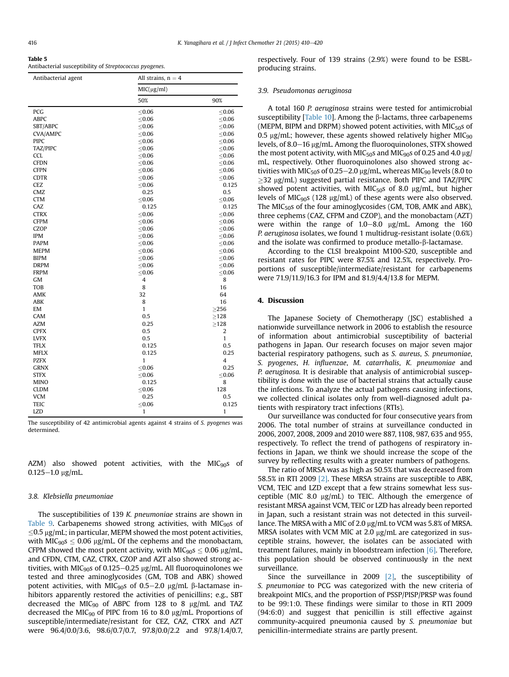<span id="page-6-0"></span>

| Table |  |
|-------|--|
|-------|--|

Antibacterial susceptibility of Streptococcus pyogenes.

| Antibacterial agent | All strains, $n = 4$ |                |  |  |  |  |  |  |
|---------------------|----------------------|----------------|--|--|--|--|--|--|
|                     | MIC(µg/ml)           |                |  |  |  |  |  |  |
|                     | 50%                  | 90%            |  |  |  |  |  |  |
| PCG                 | $\leq 0.06$          | $\leq$ 0.06    |  |  |  |  |  |  |
| ABPC                | $\leq$ 0.06          | $\leq$ 0.06    |  |  |  |  |  |  |
| SBT/ABPC            | $\leq 0.06$          | $\leq 0.06$    |  |  |  |  |  |  |
| <b>CVA/AMPC</b>     | $\leq$ 0.06          | $\leq$ 0.06    |  |  |  |  |  |  |
| <b>PIPC</b>         | $\leq$ 0.06          | $\leq$ 0.06    |  |  |  |  |  |  |
| TAZ/PIPC            | < 0.06               | $\leq$ 0.06    |  |  |  |  |  |  |
| <b>CCL</b>          | ≤ $0.06$             | $\leq$ 0.06    |  |  |  |  |  |  |
| <b>CFDN</b>         | $\leq$ 0.06          | $\leq$ 0.06    |  |  |  |  |  |  |
| <b>CFPN</b>         | $\leq$ 0.06          | $\leq$ 0.06    |  |  |  |  |  |  |
| <b>CDTR</b>         | ≤ $0.06$             | $\leq$ 0.06    |  |  |  |  |  |  |
| <b>CEZ</b>          | ≤ $0.06$             | 0.125          |  |  |  |  |  |  |
| CMZ                 | 0.25                 | 0.5            |  |  |  |  |  |  |
| <b>CTM</b>          | ≤ $0.06$             | $\leq$ 0.06    |  |  |  |  |  |  |
| CAZ                 | 0.125                | 0.125          |  |  |  |  |  |  |
| <b>CTRX</b>         | $\leq$ 0.06          | $\leq$ 0.06    |  |  |  |  |  |  |
| <b>CFPM</b>         | $\leq$ 0.06          | $\leq$ 0.06    |  |  |  |  |  |  |
| CZOP                | $\leq$ 0.06          | $\leq$ 0.06    |  |  |  |  |  |  |
| <b>IPM</b>          | $\leq 0.06$          | $\leq 0.06$    |  |  |  |  |  |  |
| <b>PAPM</b>         | $\leq 0.06$          | $\leq 0.06$    |  |  |  |  |  |  |
| <b>MEPM</b>         | $\leq 0.06$          | $\leq 0.06$    |  |  |  |  |  |  |
| <b>BIPM</b>         | ≤ $0.06$             | $\leq$ 0.06    |  |  |  |  |  |  |
| <b>DRPM</b>         | $\leq$ 0.06          | $\leq$ 0.06    |  |  |  |  |  |  |
| <b>FRPM</b>         | $\leq$ 0.06          | $\leq 0.06$    |  |  |  |  |  |  |
| GM                  | 4                    | 8              |  |  |  |  |  |  |
| TOB                 | 8                    | 16             |  |  |  |  |  |  |
| AMK                 | 32                   | 64             |  |  |  |  |  |  |
| ABK                 | 8                    | 16             |  |  |  |  |  |  |
| EM                  | $\mathbf{1}$         | >256           |  |  |  |  |  |  |
| CAM                 | 0.5                  | $\geq$ 128     |  |  |  |  |  |  |
| AZM                 | 0.25                 | >128           |  |  |  |  |  |  |
| <b>CPFX</b>         | 0.5                  | $\overline{2}$ |  |  |  |  |  |  |
| <b>LVFX</b>         | 0.5                  | $\mathbf{1}$   |  |  |  |  |  |  |
| <b>TFLX</b>         | 0.125                | 0.5            |  |  |  |  |  |  |
| <b>MFLX</b>         | 0.125                | 0.25           |  |  |  |  |  |  |
| <b>PZFX</b>         | $\mathbf{1}$         | 4              |  |  |  |  |  |  |
| <b>GRNX</b>         | $\leq 0.06$          | 0.25           |  |  |  |  |  |  |
| <b>STFX</b>         | ≤ $0.06$             | $\leq 0.06$    |  |  |  |  |  |  |
| <b>MINO</b>         | 0.125                | 8              |  |  |  |  |  |  |
| <b>CLDM</b>         | ≤ $0.06$             | 128            |  |  |  |  |  |  |
| <b>VCM</b>          | 0.25                 | 0.5            |  |  |  |  |  |  |
| TEIC                | < 0.06               | 0.125          |  |  |  |  |  |  |
| <b>LZD</b>          | 1                    | 1              |  |  |  |  |  |  |
|                     |                      |                |  |  |  |  |  |  |

The susceptibility of 42 antimicrobial agents against 4 strains of S. pyogenes was determined.

AZM) also showed potent activities, with the MIC $_{90}$ s of  $0.125 - 1.0$  µg/mL.

#### 3.8. Klebsiella pneumoniae

The susceptibilities of 139 K. pneumoniae strains are shown in [Table 9.](#page-9-0) Carbapenems showed strong activities, with  $MIC<sub>90</sub>$ s of  $\leq$ 0.5 µg/mL; in particular, MEPM showed the most potent activities, with MIC<sub>90</sub>s  $\leq$  0.06 µg/mL. Of the cephems and the monobactam, CFPM showed the most potent activity, with MIC<sub>90</sub>s  $\leq$  0.06 µg/mL, and CFDN, CTM, CAZ, CTRX, CZOP and AZT also showed strong activities, with MIC<sub>90</sub>s of 0.125–0.25  $\mu$ g/mL. All fluoroquinolones we tested and three aminoglycosides (GM, TOB and ABK) showed potent activities, with MIC<sub>90</sub>s of 0.5–2.0 µg/mL  $\beta$ -lactamase inhibitors apparently restored the activities of penicillins; e.g., SBT decreased the MIC<sub>90</sub> of ABPC from 128 to 8  $\mu$ g/mL and TAZ decreased the MIC<sub>90</sub> of PIPC from 16 to 8.0  $\mu$ g/mL. Proportions of susceptible/intermediate/resistant for CEZ, CAZ, CTRX and AZT were 96.4/0.0/3.6, 98.6/0.7/0.7, 97.8/0.0/2.2 and 97.8/1.4/0.7, respectively. Four of 139 strains (2.9%) were found to be ESBLproducing strains.

## 3.9. Pseudomonas aeruginosa

A total 160 P. aeruginosa strains were tested for antimicrobial susceptibility [\[Table 10](#page-9-0)]. Among the  $\beta$ -lactams, three carbapenems (MEPM, BIPM and DRPM) showed potent activities, with MIC $50$ s of 0.5  $\mu$ g/mL; however, these agents showed relatively higher MIC<sub>90</sub> levels, of 8.0 $-16 \mu$ g/mL. Among the fluoroquinolones, STFX showed the most potent activity, with MIC $_{50}$ s and MIC $_{90}$ s of 0.25 and 4.0  $\mu$ g/ mL, respectively. Other fluoroquinolones also showed strong activities with MIC<sub>50</sub>s of 0.25–2.0  $\mu$ g/mL, whereas MIC<sub>90</sub> levels (8.0 to  $\geq$ 32 µg/mL) suggested partial resistance. Both PIPC and TAZ/PIPC showed potent activities, with MIC $_{50}$ s of 8.0 µg/mL, but higher levels of MIC<sub>90</sub>s (128  $\mu$ g/mL) of these agents were also observed. The MIC $_{50}$ s of the four aminoglycosides (GM, TOB, AMK and ABK), three cephems (CAZ, CFPM and CZOP), and the monobactam (AZT) were within the range of  $1.0-8.0$   $\mu$ g/mL. Among the 160 P. aeruginosa isolates, we found 1 multidrug-resistant isolate (0.6%) and the isolate was confirmed to produce metallo- $\beta$ -lactamase.

According to the CLSI breakpoint M100-S20, susceptible and resistant rates for PIPC were 87.5% and 12.5%, respectively. Proportions of susceptible/intermediate/resistant for carbapenems were 71.9/11.9/16.3 for IPM and 81.9/4.4/13.8 for MEPM.

## 4. Discussion

The Japanese Society of Chemotherapy (JSC) established a nationwide surveillance network in 2006 to establish the resource of information about antimicrobial susceptibility of bacterial pathogens in Japan. Our research focuses on major seven major bacterial respiratory pathogens, such as S. aureus, S. pneumoniae, S. pyogenes, H. influenzae, M. catarrhalis, K. pneumoniae and P. aeruginosa. It is desirable that analysis of antimicrobial susceptibility is done with the use of bacterial strains that actually cause the infections. To analyze the actual pathogens causing infections, we collected clinical isolates only from well-diagnosed adult patients with respiratory tract infections (RTIs).

Our surveillance was conducted for four consecutive years from 2006. The total number of strains at surveillance conducted in 2006, 2007, 2008, 2009 and 2010 were 887, 1108, 987, 635 and 955, respectively. To reflect the trend of pathogens of respiratory infections in Japan, we think we should increase the scope of the survey by reflecting results with a greater numbers of pathogens.

The ratio of MRSA was as high as 50.5% that was decreased from 58.5% in RTI 2009 [\[2\]](#page-10-0). These MRSA strains are susceptible to ABK, VCM, TEIC and LZD except that a few strains somewhat less susceptible (MIC 8.0  $\mu$ g/mL) to TEIC. Although the emergence of resistant MRSA against VCM, TEIC or LZD has already been reported in Japan, such a resistant strain was not detected in this surveillance. The MRSA with a MIC of 2.0 µg/mL to VCM was 5.8% of MRSA. MRSA isolates with VCM MIC at 2.0  $\mu$ g/mL are categorized in susceptible strains, however, the isolates can be associated with treatment failures, mainly in bloodstream infection [\[6\]](#page-10-0). Therefore, this population should be observed continuously in the next surveillance.

Since the surveillance in 2009 [\[2\],](#page-10-0) the susceptibility of S. pneumoniae to PCG was categorized with the new criteria of breakpoint MICs, and the proportion of PSSP/PISP/PRSP was found to be 99:1:0. These findings were similar to those in RTI 2009 (94:6:0) and suggest that penicillin is still effective against community-acquired pneumonia caused by S. pneumoniae but penicillin-intermediate strains are partly present.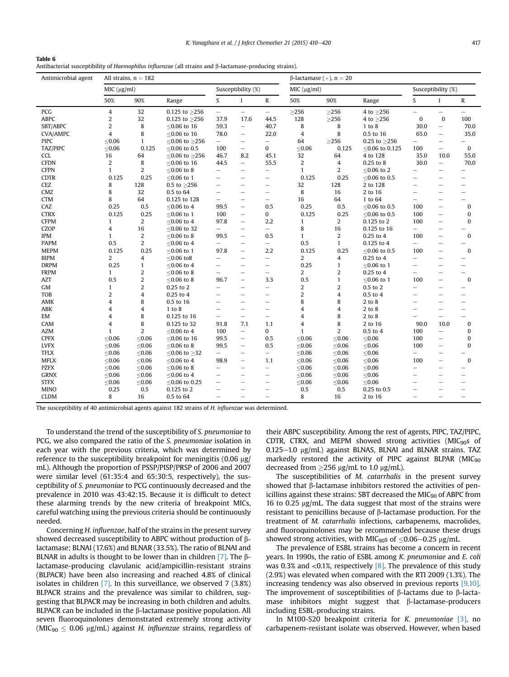<span id="page-7-0"></span>Antibacterial susceptibility of Haemophilus influenzae (all strains and  $\beta$ -lactamase-producing strains).

| Antimicrobial agent |                | All strains, $n = 182$  |                     |                          |                          |                          | $\beta$ -lactamase (+), n = 20 |                |                      |                          |                                 |                          |
|---------------------|----------------|-------------------------|---------------------|--------------------------|--------------------------|--------------------------|--------------------------------|----------------|----------------------|--------------------------|---------------------------------|--------------------------|
|                     | MIC (µg/ml)    |                         |                     |                          | Susceptibility (%)       |                          | MIC (µg/ml)                    |                |                      |                          | Susceptibility (%)              |                          |
|                     | 50%            | 90%                     | Range               | S                        | $\mathbf I$              | R                        | 50%                            | 90%            | Range                | S                        | $\mathbf I$                     | ${\mathbb R}$            |
| PCG                 | 4              | 32                      | $0.125$ to $>256$   | $\overline{\phantom{0}}$ | $\overline{\phantom{m}}$ | $\overline{\phantom{0}}$ | $\geq$ 256                     | $\geq$ 256     | 4 to $>256$          | ÷.                       | $\overline{\phantom{m}}$        | $\overline{\phantom{0}}$ |
| <b>ABPC</b>         | 2              | 32                      | 0.125 to $\geq$ 256 | 37.9                     | 17.6                     | 44.5                     | 128                            | $\geq$ 256     | 4 to $\geq$ 256      | $\mathbf{0}$             | $\bf{0}$                        | 100                      |
| SBT/ABPC            | 2              | 8                       | $\leq$ 0.06 to 16   | 59.3                     | $\overline{\phantom{0}}$ | 40.7                     | 8                              | 8              | $1$ to $8$           | 30.0                     | $\overline{\phantom{0}}$        | 70.0                     |
| <b>CVA/AMPC</b>     | 4              | 8                       | $<$ 0.06 to 16      | 78.0                     | $\qquad \qquad -$        | 22.0                     | 4                              | 8              | 0.5 to 16            | 65.0                     | $\overline{\phantom{0}}$        | 35.0                     |
| <b>PIPC</b>         | < 0.06         | $\mathbf{1}$            | $<$ 0.06 to $>$ 256 | $\overline{\phantom{0}}$ | $\overline{\phantom{0}}$ | $\qquad \qquad -$        | 64                             | $\geq$ 256     | 0.25 to $\geq$ 256   | $\overline{\phantom{0}}$ | $\overline{\phantom{0}}$        |                          |
| TAZ/PIPC            | $\leq 0.06$    | 0.125                   | ≤0.06 to 0.5        | 100                      | $\overline{\phantom{0}}$ | 0                        | $\leq 0.06$                    | 0.125          | ≤0.06 to 0.125       | 100                      | $\overline{\phantom{a}}$        | $\bf{0}$                 |
| <b>CCL</b>          | 16             | 64                      | $≤0.06$ to $≥256$   | 46.7                     | 8.2                      | 45.1                     | 32                             | 64             | 4 to 128             | 35.0                     | 10.0                            | 55.0                     |
| <b>CFDN</b>         | 2              | 8                       | $<$ 0.06 to 16      | 44.5                     | $\overline{\phantom{m}}$ | 55.5                     | 2                              | 4              | 0.25 to 8            | 30.0                     | $\overline{\phantom{m}}$        | 70.0                     |
| <b>CFPN</b>         | 1              | 2                       | $< 0.06$ to 8       | $=$                      | $\equiv$                 | $\overline{\phantom{0}}$ | $\mathbf{1}$                   | 2              | $< 0.06$ to 2        |                          | $\overline{\phantom{0}}$        | ÷.                       |
| <b>CDTR</b>         | 0.125          | 0.25                    | ≤0.06 to 1          | $\overline{\phantom{0}}$ | $\overline{\phantom{0}}$ | $\overline{\phantom{0}}$ | 0.125                          | 0.25           | ${\le}0.06$ to $0.5$ | $\overline{\phantom{0}}$ | $\overline{\phantom{0}}$        | -                        |
| CEZ                 | 8              | 128                     | 0.5 to $\geq$ 256   | -                        |                          | $\overline{\phantom{0}}$ | 32                             | 128            | 2 to 128             |                          |                                 | ÷                        |
| CMZ                 | 8              | 32                      | 0.5 to 64           | $\overline{\phantom{0}}$ |                          | $\overline{\phantom{0}}$ | 8                              | 16             | 2 to 16              | -                        | $\overline{\phantom{a}}$        | L.                       |
| <b>CTM</b>          | 8              | 64                      | 0.125 to 128        | $\overline{\phantom{0}}$ | $\overline{\phantom{0}}$ | $\overline{\phantom{0}}$ | 16                             | 64             | 1 to 64              | $\overline{\phantom{0}}$ | $\overline{\phantom{0}}$        | $\overline{\phantom{0}}$ |
| CAZ                 | 0.25           | 0.5                     | $\leq$ 0.06 to 4    | 99.5                     | $\qquad \qquad -$        | 0.5                      | 0.25                           | 0.5            | ≤0.06 to 0.5         | 100                      | $\qquad \qquad -$               | $\mathbf{0}$             |
| <b>CTRX</b>         | 0.125          | 0.25                    | $\leq$ 0.06 to 1    | 100                      | $\overline{\phantom{0}}$ | 0                        | 0.125                          | 0.25           | ≤0.06 to 0.5         | 100                      | $\overbrace{\phantom{1232211}}$ | $\mathbf{0}$             |
| <b>CFPM</b>         | 1              | 2                       | $<$ 0.06 to 4       | 97.8                     | $\qquad \qquad -$        | 2.2                      | $\mathbf{1}$                   | 2              | 0.125 to 2           | 100                      | $\overline{\phantom{0}}$        | 0                        |
| CZOP                | 4              | 16                      | $<$ 0.06 to 32      | $\overline{\phantom{0}}$ | $\overline{\phantom{0}}$ | $\overline{\phantom{0}}$ | 8                              | 16             | 0.125 to 16          | $\overline{\phantom{0}}$ | $\qquad \qquad -$               |                          |
| IPM                 | $\mathbf{1}$   | $\overline{\mathbf{c}}$ | $≤0.06$ to $8$      | 99.5                     | $\equiv$                 | 0.5                      | $\mathbf{1}$                   | 2              | $0.25$ to $4\,$      | 100                      | $\equiv$                        | $\bf{0}$                 |
| <b>PAPM</b>         | 0.5            | 2                       | $\leq$ 0.06 to 4    | $\overline{\phantom{0}}$ | $\overline{\phantom{0}}$ | $\equiv$                 | 0.5                            | $\mathbf{1}$   | 0.125 to 4           | $\overline{\phantom{0}}$ |                                 | —                        |
| <b>MEPM</b>         | 0.125          | 0.25                    | $< 0.06$ to 1       | 97.8                     | $\qquad \qquad -$        | 2.2                      | 0.125                          | 0.25           | $<$ 0.06 to 0.5      | 100                      | $\overline{\phantom{0}}$        | $\Omega$                 |
| <b>BIPM</b>         | $\overline{2}$ | 4                       | $< 0.06$ to 8       | $\overline{\phantom{0}}$ | $\overline{\phantom{0}}$ | ÷.                       | 2                              | 4              | $0.25$ to $4$        | -                        |                                 | —                        |
| <b>DRPM</b>         | 0.25           | $\mathbf{1}$            | $\leq$ 0.06 to 4    | $\overline{\phantom{0}}$ | $\overline{\phantom{a}}$ | $\overline{\phantom{0}}$ | 0.25                           | $\mathbf{1}$   | ≤0.06 to 1           | $\overline{\phantom{0}}$ |                                 | $\overline{\phantom{0}}$ |
| <b>FRPM</b>         | 1              | 2                       | $\leq$ 0.06 to 8    | -                        |                          | $\overline{\phantom{0}}$ | 2                              | 2              | $0.25$ to $4$        | $\overline{\phantom{0}}$ | $\overline{\phantom{0}}$        | $\overline{\phantom{0}}$ |
| AZT                 | 0.5            | $\overline{c}$          | $< 0.06$ to 8       | 96.7                     | $\overline{\phantom{0}}$ | 3.3                      | 0.5                            | $\mathbf{1}$   | $< 0.06$ to 1        | 100                      | $\overline{\phantom{0}}$        | $\mathbf{0}$             |
| GM                  | 1              | 2                       | 0.25 to 2           | -                        |                          | $\overline{\phantom{0}}$ | 2                              | 2              | 0.5 to 2             | $\overline{\phantom{0}}$ | $\overline{\phantom{0}}$        | ÷                        |
| <b>TOB</b>          | 2              | 4                       | 0.25 to 4           | -                        |                          | $=$                      | 2                              | 4              | $0.5$ to $4$         | -                        | $\overline{\phantom{0}}$        | -                        |
| AMK                 | 4              | 8                       | 0.5 to 16           |                          |                          | $\overline{\phantom{0}}$ | 8                              | 8              | 2 to 8               | -                        | $\overline{\phantom{0}}$        | $\overline{\phantom{0}}$ |
| ABK                 | 4              | 4                       | 1 to 8              | L.                       | $\overline{\phantom{0}}$ | $\overline{\phantom{0}}$ | 4                              | 4              | 2 to 8               | $\overline{\phantom{0}}$ | $\qquad \qquad -$               | L.                       |
| EM                  | 4              | 8                       | 0.125 to 16         | $\overline{\phantom{0}}$ |                          | $\overline{\phantom{0}}$ | 4                              | 8              | 2 to 8               |                          | $\qquad \qquad -$               | L.                       |
| CAM                 | 4              | 8                       | 0.125 to 32         | 91.8                     | 7.1                      | 1.1                      | 4                              | 8              | 2 to 16              | 90.0                     | 10.0                            | $\bf{0}$                 |
| <b>AZM</b>          | 1              | $\overline{2}$          | $\leq$ 0.06 to 4    | 100                      | $\overline{\phantom{0}}$ | 0                        | 1                              | $\overline{2}$ | 0.5 to 4             | 100                      | $\qquad \qquad -$               | 0                        |
| <b>CPFX</b>         | < 0.06         | < 0.06                  | $<$ 0.06 to 16      | 99.5                     | $\qquad \qquad -$        | 0.5                      | $\leq 0.06$                    | < 0.06         | < 0.06               | 100                      | $\overline{\phantom{0}}$        | 0                        |
| <b>LVFX</b>         | < 0.06         | < 0.06                  | $< 0.06$ to 8       | 99.5                     | $\overline{\phantom{0}}$ | 0.5                      | < 0.06                         | < 0.06         | < 0.06               | 100                      | $\overline{\phantom{0}}$        | $\bf{0}$                 |
| <b>TFLX</b>         | $\leq 0.06$    | $≤0.06$                 | ≤0.06 to $≥32$      | $\overline{\phantom{0}}$ |                          | $\overline{\phantom{0}}$ | $\leq 0.06$                    | $\leq 0.06$    | $\leq 0.06$          | ÷.                       | $\overline{\phantom{0}}$        | -                        |
| <b>MFLX</b>         | ≤ $0.06$       | ≤ $0.06$                | $\leq$ 0.06 to 4    | 98.9                     | $\overline{\phantom{0}}$ | 1.1                      | ≤ $0.06$                       | ≤ $0.06$       | $≤0.06$              | 100                      | $\overline{\phantom{0}}$        | $\mathbf 0$              |
| <b>PZFX</b>         | $\leq 0.06$    | < 0.06                  | $< 0.06$ to 8       | $\overline{\phantom{0}}$ |                          | $\qquad \qquad -$        | $\leq 0.06$                    | < 0.06         | < 0.06               | $\overline{\phantom{0}}$ | $\overline{\phantom{0}}$        | -                        |
| <b>GRNX</b>         | < 0.06         | < 0.06                  | $<$ 0.06 to 4       | $\overline{\phantom{0}}$ | $\equiv$                 | $\overline{\phantom{0}}$ | < 0.06                         | < 0.06         | < 0.06               | $\overline{\phantom{0}}$ | $\overline{\phantom{0}}$        | L.                       |
| <b>STFX</b>         | $\leq 0.06$    | ${\le}0.06$             | ≤0.06 to 0.25       | $\overline{\phantom{0}}$ | -                        | $\equiv$                 | $\leq$ 0.06                    | ≤ $0.06$       | $≤0.06$              | -                        | $\overline{\phantom{a}}$        | L.                       |
| <b>MINO</b>         | 0.25           | 0.5                     | 0.125 to 2          |                          |                          | $\overline{\phantom{0}}$ | 0.5                            | 0.5            | 0.25 to 0.5          |                          |                                 | -                        |
| <b>CLDM</b>         | 8              | 16                      | 0.5 to 64           | -                        | L.                       | $\overline{\phantom{0}}$ | 8                              | 16             | 2 to 16              | $\overline{\phantom{0}}$ | $\overline{\phantom{0}}$        |                          |

The susceptibility of 40 antimicrobial agents against 182 strains of H. influenzae was determined.

To understand the trend of the susceptibility of S. pneumoniae to PCG, we also compared the ratio of the S. pneumoniae isolation in each year with the previous criteria, which was determined by reference to the susceptibility breakpoint for meningitis  $(0.06 \mu g)$ mL). Although the proportion of PSSP/PISP/PRSP of 2006 and 2007 were similar level (61:35:4 and 65:30:5, respectively), the susceptibility of S. pneumoniae to PCG continuously decreased and the prevalence in 2010 was 43:42:15. Because it is difficult to detect these alarming trends by the new criteria of breakpoint MICs, careful watching using the previous criteria should be continuously needed.

Concerning H. influenzae, half of the strains in the present survey showed decreased susceptibility to ABPC without production of  $\beta$ lactamase; BLNAI (17.6%) and BLNAR (33.5%). The ratio of BLNAI and BLNAR in adults is thought to be lower than in children  $[7]$ . The  $\beta$ lactamase-producing clavulanic acid/ampicillin-resistant strains (BLPACR) have been also increasing and reached 4.8% of clinical isolates in children [\[7\].](#page-10-0) In this surveillance, we observed 7 (3.8%) BLPACR strains and the prevalence was similar to children, suggesting that BLPACR may be increasing in both children and adults. BLPACR can be included in the  $\beta$ -lactamase positive population. All seven fluoroquinolones demonstrated extremely strong activity (MIC<sub>90</sub>  $\leq$  0.06  $\mu$ g/mL) against *H. influenzae* strains, regardless of their ABPC susceptibility. Among the rest of agents, PIPC, TAZ/PIPC, CDTR, CTRX, and MEPM showed strong activities (MIC<sub>90</sub>s of  $0.125-1.0$   $\mu$ g/mL) against BLNAS, BLNAI and BLNAR strains. TAZ markedly restored the activity of PIPC against BLPAR ( $MIC_{90}$ decreased from  $\geq$ 256 µg/mL to 1.0 µg/mL).

The susceptibilities of M. catarrhalis in the present survey showed that  $\beta$ -lactamase inhibitors restored the activities of penicillins against these strains: SBT decreased the MIC $_{90}$  of ABPC from 16 to 0.25  $\mu$ g/mL. The data suggest that most of the strains were resistant to penicillins because of  $\beta$ -lactamase production. For the treatment of M. catarrhalis infections, carbapenems, macrolides, and fluoroquinolones may be recommended because these drugs showed strong activities, with MIC<sub>90</sub>s of  $\leq 0.06-0.25$  ug/mL.

The prevalence of ESBL strains has become a concern in recent years. In 1990s, the ratio of ESBL among K. pneumoniae and E. coli was 0.3% and <0.1%, respectively  $[8]$ . The prevalence of this study (2.9%) was elevated when compared with the RTI 2009 (1.3%). The increasing tendency was also observed in previous reports [\[9,10\].](#page-10-0) The improvement of susceptibilities of  $\beta$ -lactams due to  $\beta$ -lactamase inhibitors might suggest that  $\beta$ -lactamase-producers including ESBL-producing strains.

In M100-S20 breakpoint criteria for K. pneumoniae [\[3\]](#page-10-0), no carbapenem-resistant isolate was observed. However, when based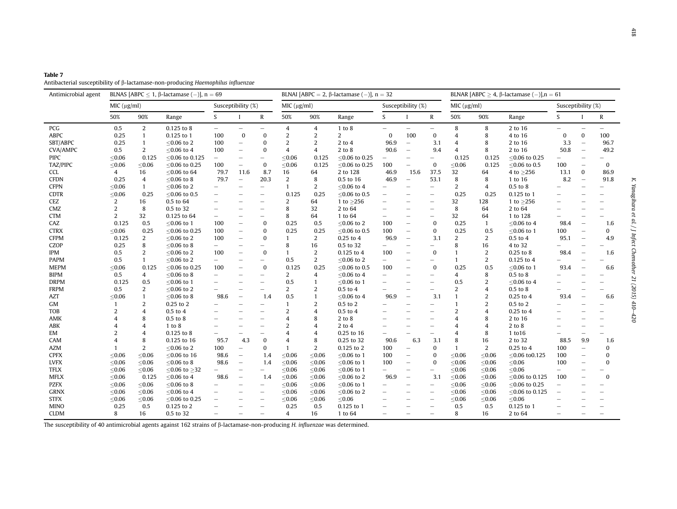<span id="page-8-0"></span>

| Table 7                                                                          |  |
|----------------------------------------------------------------------------------|--|
| Antibacterial susceptibility of β-lactamase-non-producing Haemophilus influenzae |  |

| Antimicrobial agent | BLNAS [ABPC < 1, $\beta$ -lactamase (-)], $n = 69$ |                |                    |                          |                          |                          | BLNAI [ABPC = 2, $\beta$ -lactamase (-)], n = 32 |                |                  |                          |                          | BLNAR [ABPC $\geq 4$ , $\beta$ -lactamase (-)], n = 61 |                |                |                   |                          |                          |                          |
|---------------------|----------------------------------------------------|----------------|--------------------|--------------------------|--------------------------|--------------------------|--------------------------------------------------|----------------|------------------|--------------------------|--------------------------|--------------------------------------------------------|----------------|----------------|-------------------|--------------------------|--------------------------|--------------------------|
|                     | MIC (µg/ml)                                        |                |                    |                          | Susceptibility (%)       |                          | MIC (µg/ml)                                      |                |                  |                          | Susceptibility (%)       |                                                        | MIC (µg/ml)    |                |                   | Susceptibility (%)       |                          |                          |
|                     | 50%                                                | 90%            | Range              | S.                       | Т                        | $\mathbb{R}$             | 50%                                              | 90%            | Range            | S.                       |                          | $\mathbb{R}$                                           | 50%            | 90%            | Range             | S                        |                          | ${\mathbb R}$            |
| PCG                 | 0.5                                                | 2              | 0.125 to 8         | $\overline{\phantom{m}}$ | $\qquad \qquad -$        | $\overline{\phantom{0}}$ | 4                                                | 4              | 1 to 8           | $\overline{\phantom{0}}$ | $\qquad \qquad -$        | $\overline{\phantom{0}}$                               | 8              | 8              | 2 to 16           | $\overline{\phantom{0}}$ |                          |                          |
| <b>ABPC</b>         | 0.25                                               | $\mathbf{1}$   | $0.125$ to 1       | 100                      | $\bf{0}$                 | $\bf{0}$                 | 2                                                | 2              | $\overline{2}$   | $\bf{0}$                 | 100                      | $\bf{0}$                                               | $\overline{4}$ | 8              | 4 to 16           | $\Omega$                 | $\bf{0}$                 | 100                      |
| SBT/ABPC            | 0.25                                               | $\mathbf{1}$   | $< 0.06$ to 2      | 100                      | $\qquad \qquad -$        | $\mathbf{0}$             | $\overline{2}$                                   | 2              | 2 to 4           | 96.9                     | $\overline{\phantom{0}}$ | 3.1                                                    | 4              | 8              | 2 to 16           | 3.3                      | $\overline{\phantom{a}}$ | 96.7                     |
| <b>CVA/AMPC</b>     | 0.5                                                | 2              | $<$ 0.06 to 4      | 100                      | $\qquad \qquad -$        | $\Omega$                 | 4                                                | $\overline{4}$ | $2$ to $8$       | 90.6                     | $\overline{\phantom{m}}$ | 9.4                                                    | 4              | 8              | 2 to 16           | 50.8                     | $\overline{\phantom{m}}$ | 49.2                     |
| <b>PIPC</b>         | < 0.06                                             | 0.125          | $<$ 0.06 to 0.125  |                          | $\equiv$                 | $\overline{\phantom{a}}$ | < 0.06                                           | 0.125          | $<$ 0.06 to 0.25 | -                        | $\equiv$                 | $\overline{\phantom{a}}$                               | 0.125          | 0.125          | $<$ 0.06 to 0.25  |                          |                          |                          |
| TAZ/PIPC            | < 0.06                                             | < 0.06         | $<$ 0.06 to 0.25   | 100                      | $\overline{\phantom{0}}$ | 0                        | ≤0.06                                            | 0.125          | $< 0.06$ to 0.25 | 100                      | $\qquad \qquad -$        | $\bf{0}$                                               | < 0.06         | 0.125          | $<$ 0.06 to 0.5   | 100                      | $\overline{\phantom{0}}$ | $\Omega$                 |
| <b>CCL</b>          | $\overline{4}$                                     | 16             | $<$ 0.06 to 64     | 79.7                     | 11.6                     | 8.7                      | 16                                               | 64             | 2 to 128         | 46.9                     | 15.6                     | 37.5                                                   | 32             | 64             | 4 to $\geq$ 256   | 13.1                     | $\bf{0}$                 | 86.9                     |
| <b>CFDN</b>         | 0.25                                               | 4              | $< 0.06$ to 8      | 79.7                     | $\overline{\phantom{0}}$ | 20.3                     | $\overline{2}$                                   | 8              | 0.5 to 16        | 46.9                     | $\overline{\phantom{0}}$ | 53.1                                                   | 8              | 8              | 1 to 16           | 8.2                      | $\overline{\phantom{0}}$ | 91.8                     |
| <b>CFPN</b>         | < 0.06                                             | $\mathbf{1}$   | $< 0.06$ to 2      | $\overline{\phantom{0}}$ | $\overline{\phantom{0}}$ | $\overline{\phantom{0}}$ | 1                                                | 2              | $< 0.06$ to 4    | L,                       |                          | $\overline{\phantom{0}}$                               | 2              | $\overline{4}$ | 0.5 to 8          |                          |                          |                          |
| <b>CDTR</b>         | < 0.06                                             | 0.25           | $<$ 0.06 to 0.5    |                          |                          | $\overline{\phantom{a}}$ | 0.125                                            | 0.25           | $<$ 0.06 to 0.5  | $\overline{\phantom{0}}$ |                          | $\overline{\phantom{a}}$                               | 0.25           | 0.25           | 0.125 to 1        |                          |                          |                          |
| CEZ                 | 2                                                  | 16             | 0.5 to 64          |                          |                          | $\overline{\phantom{m}}$ | $\overline{2}$                                   | 64             | 1 to $>256$      | $\overline{\phantom{0}}$ |                          | $\overline{\phantom{m}}$                               | 32             | 128            | 1 to $>256$       |                          |                          |                          |
| CMZ                 | $\overline{2}$                                     | 8              | 0.5 to 32          | $\qquad \qquad$          |                          | $\overline{\phantom{a}}$ | 8                                                | 32             | 2 to 64          | $\overline{\phantom{0}}$ | $\overline{\phantom{0}}$ | $\overline{\phantom{m}}$                               | 8              | 64             | 2 to 64           |                          |                          |                          |
| <b>CTM</b>          | 2                                                  | 32             | 0.125 to 64        | $\overline{\phantom{0}}$ |                          | $\overline{\phantom{0}}$ | 8                                                | 64             | 1 to 64          | $\overline{\phantom{0}}$ |                          | $\overline{\phantom{m}}$                               | 32             | 64             | 1 to 128          |                          |                          |                          |
| CAZ                 | 0.125                                              | 0.5            | $<$ 0.06 to 1      | 100                      |                          | $\Omega$                 | 0.25                                             | 0.5            | $< 0.06$ to 2    | 100                      | ÷                        | $\mathbf{0}$                                           | 0.25           | $\mathbf{1}$   | $<$ 0.06 to 4     | 98.4                     |                          | 1.6                      |
| <b>CTRX</b>         | < 0.06                                             | 0.25           | $<$ 0.06 to 0.25   | 100                      | $\overline{\phantom{0}}$ | $\mathbf{0}$             | 0.25                                             | 0.25           | $<$ 0.06 to 0.5  | 100                      | $\qquad \qquad -$        | $\mathbf{0}$                                           | 0.25           | 0.5            | $<$ 0.06 to 1     | 100                      | $\overline{\phantom{0}}$ | 0                        |
| <b>CFPM</b>         | 0.125                                              | 2              | $\leq$ 0.06 to 2   | 100                      | $\overline{\phantom{a}}$ | $\bf{0}$                 | 1                                                | 2              | $0.25$ to $4$    | 96.9                     | $\overline{\phantom{m}}$ | 3.1                                                    | 2              | 2              | 0.5 to 4          | 95.1                     |                          | 4.9                      |
| <b>CZOP</b>         | 0.25                                               | 8              | $< 0.06$ to 8      | $\overline{\phantom{m}}$ |                          | $\overline{\phantom{0}}$ | 8                                                | 16             | 0.5 to 32        | $\overline{\phantom{0}}$ | $\overline{\phantom{0}}$ | $\overline{\phantom{0}}$                               | 8              | 16             | 4 to 32           | L,                       |                          |                          |
| IPM                 | 0.5                                                | $\overline{2}$ | $< 0.06$ to 2      | 100                      | $\equiv$                 | $\bf{0}$                 | 1                                                | 2              | 0.125 to 4       | 100                      | $\overline{\phantom{0}}$ | $\mathbf{0}$                                           |                | 2              | 0.25 to 8         | 98.4                     | $\sim$                   | 1.6                      |
| <b>PAPM</b>         | 0.5                                                | $\mathbf{1}$   | $< 0.06$ to 2      | $\overline{\phantom{0}}$ |                          | $\overline{\phantom{0}}$ | 0.5                                              | 2              | $< 0.06$ to 2    | $\overline{\phantom{0}}$ |                          | $\overline{\phantom{0}}$                               | $\mathbf{1}$   | 2              | 0.125 to 4        |                          |                          |                          |
| <b>MEPM</b>         | < 0.06                                             | 0.125          | $<$ 0.06 to 0.25   | 100                      | $\equiv$                 | $\bf{0}$                 | 0.125                                            | 0.25           | $<$ 0.06 to 0.5  | 100                      | $\overline{\phantom{a}}$ | $\mathbf{0}$                                           | 0.25           | 0.5            | $<$ 0.06 to 1     | 93.4                     |                          | 6.6                      |
| <b>BIPM</b>         | 0.5                                                | 4              | $< 0.06$ to 8      | $\overline{\phantom{m}}$ |                          | $\overline{\phantom{0}}$ | $\overline{2}$                                   | $\overline{4}$ | $< 0.06$ to 4    | $\overline{\phantom{0}}$ |                          | $\overline{\phantom{m}}$                               | $\overline{4}$ | 8              | 0.5 to 8          |                          |                          |                          |
| <b>DRPM</b>         | 0.125                                              | 0.5            | $<$ 0.06 to 1      | $\equiv$                 |                          | $\overline{\phantom{0}}$ | 0.5                                              | 1              | $< 0.06$ to 1    | $\overline{\phantom{0}}$ |                          | $\overline{\phantom{0}}$                               | 0.5            | $\overline{2}$ | $<$ 0.06 to 4     |                          |                          |                          |
| <b>FRPM</b>         | 0.5                                                | $\overline{2}$ | $< 0.06$ to 2      | $\qquad \qquad -$        |                          | $\qquad \qquad$          | $\overline{2}$                                   | 2              | $0.5$ to $4$     | $\overline{\phantom{0}}$ | $\overline{\phantom{0}}$ | $\overline{\phantom{m}}$                               | 2              | 4              | 0.5 to 8          |                          |                          | -                        |
| AZT                 | < 0.06                                             |                | $< 0.06$ to 8      | 98.6                     | $\overline{\phantom{0}}$ | 1.4                      | 0.5                                              | $\mathbf{1}$   | $< 0.06$ to 4    | 96.9                     | ÷                        | 3.1                                                    |                | $\overline{2}$ | $0.25$ to $4$     | 93.4                     |                          | 6.6                      |
| GM                  | -1                                                 | $\overline{2}$ | $0.25$ to $2$      | $\overline{\phantom{a}}$ |                          | $\overline{\phantom{a}}$ | 1                                                | 2              | 0.5 to 2         | -                        |                          | $\overline{\phantom{a}}$                               |                | $\overline{2}$ | 0.5 to 2          |                          |                          |                          |
| <b>TOB</b>          | $\overline{2}$                                     | 4              | $0.5$ to $4$       |                          |                          | $\overline{\phantom{0}}$ | 2                                                | $\overline{4}$ | $0.5$ to $4\,$   |                          |                          | $\overline{\phantom{0}}$                               | $\overline{2}$ | 4              | $0.25$ to $4$     |                          |                          |                          |
| AMK                 | 4                                                  | 8              | $0.5$ to $8$       |                          |                          | $\overline{\phantom{a}}$ | 4                                                | 8              | $2$ to $8$       |                          |                          | $\overline{\phantom{a}}$                               | Δ              | 8              | 2 to 16           |                          |                          |                          |
| <b>ABK</b>          |                                                    | $\overline{4}$ | 1 to 8             |                          |                          | $\overline{\phantom{0}}$ | 2                                                | $\overline{4}$ | $2$ to $4$       | $\overline{\phantom{0}}$ |                          | $\overline{\phantom{0}}$                               |                | 4              | 2 to 8            |                          |                          |                          |
| EM                  |                                                    | $\overline{4}$ | 0.125 to 8         | $\qquad \qquad -$        |                          | $\qquad \qquad -$        | 4                                                | $\overline{4}$ | 0.25 to 16       | $\overline{\phantom{0}}$ | L.                       | $\overline{\phantom{m}}$                               | $\overline{4}$ | 8              | 1 to 16           |                          |                          |                          |
| CAM                 |                                                    | 8              | 0.125 to 16        | 95.7                     | 4.3                      | $\mathbf{0}$             | $\overline{4}$                                   | 8              | 0.25 to 32       | 90.6                     | 6.3                      | 3.1                                                    | 8              | 16             | 2 to 32           | 88.5                     | 9.9                      | 1.6                      |
| AZM                 |                                                    | 2              | $\leq$ 0.06 to 2   | 100                      | $\qquad \qquad -$        | $\Omega$                 | $\mathbf{1}$                                     | $\overline{2}$ | 0.125 to 2       | 100                      | $\overline{\phantom{0}}$ | $\bf{0}$                                               |                | 2              | $0.25$ to 4       | 100                      |                          | $\mathbf{0}$             |
| <b>CPFX</b>         | < 0.06                                             | < 0.06         | $<$ 0.06 to 16     | 98.6                     | $\overline{\phantom{a}}$ | 1.4                      | < 0.06                                           | < 0.06         | $< 0.06$ to 1    | 100                      | $\overline{\phantom{0}}$ | $\mathbf{0}$                                           | < 0.06         | < 0.06         | $<$ 0.06 to 0.125 | 100                      | -                        | $\Omega$                 |
| <b>LVFX</b>         | $<$ 0.06                                           | < 0.06         | $<$ 0.06 to 8      | 98.6                     | $\overline{\phantom{a}}$ | 1.4                      | < 0.06                                           | < 0.06         | $<$ 0.06 to 1    | 100                      | $\overline{\phantom{0}}$ | 0                                                      | < 0.06         | $<$ 0.06       | < 0.06            | 100                      | -                        | $\mathbf 0$              |
| <b>TFLX</b>         | < 0.06                                             | < 0.06         | $< 0.06$ to $> 32$ | $\overline{\phantom{0}}$ | $\equiv$                 | $\overline{\phantom{0}}$ | < 0.06                                           | < 0.06         | $< 0.06$ to 1    | $\overline{\phantom{0}}$ | $\overline{\phantom{0}}$ | $\overline{\phantom{m}}$                               | < 0.06         | < 0.06         | < 0.06            | $\overline{\phantom{0}}$ |                          | $\overline{\phantom{a}}$ |
| <b>MFLX</b>         | $<$ 0.06                                           | 0.125          | $<$ 0.06 to 4      | 98.6                     | $\overline{\phantom{a}}$ | 1.4                      | < 0.06                                           | < 0.06         | $<$ 0.06 to 2    | 96.9                     | $\overline{\phantom{a}}$ | 3.1                                                    | < 0.06         | < 0.06         | $<$ 0.06 to 0.125 | 100                      |                          | $\Omega$                 |
| <b>PZFX</b>         | $<$ 0.06                                           | < 0.06         | $< 0.06$ to 8      |                          |                          | $\qquad \qquad -$        | $\leq 0.06$                                      | < 0.06         | $< 0.06$ to 1    |                          |                          | $\qquad \qquad -$                                      | < 0.06         | < 0.06         | $<$ 0.06 to 0.25  | $\overline{\phantom{0}}$ |                          |                          |
| <b>GRNX</b>         | $<$ 0.06                                           | < 0.06         | $<$ 0.06 to 4      | $\overline{\phantom{0}}$ |                          | $\overline{\phantom{m}}$ | < 0.06                                           | < 0.06         | $< 0.06$ to 2    |                          | -                        | $\overline{\phantom{m}}$                               | < 0.06         | < 0.06         | $<$ 0.06 to 0.125 |                          |                          |                          |
| <b>STFX</b>         | $<$ 0.06                                           | < 0.06         | $<$ 0.06 to 0.25   | $\overline{\phantom{a}}$ |                          | $\overline{\phantom{a}}$ | < 0.06                                           | < 0.06         | < 0.06           |                          | -                        | $\overline{\phantom{a}}$                               | < 0.06         | < 0.06         | < 0.06            |                          |                          |                          |
| <b>MINO</b>         | 0.25                                               | 0.5            | 0.125 to 2         |                          |                          |                          | 0.25                                             | 0.5            | 0.125 to 1       |                          |                          |                                                        | 0.5            | 0.5            | 0.125 to 1        |                          |                          |                          |
| <b>CLDM</b>         | 8                                                  | 16             | 0.5 to 32          | $\overline{\phantom{0}}$ |                          | $\overline{\phantom{0}}$ | 4                                                | 16             | 1 to 64          | $\overline{\phantom{0}}$ |                          | $\overline{\phantom{a}}$                               | 8              | 16             | 2 to 64           |                          |                          |                          |

The susceptibility of 40 antimicrobial agents against 162 strains of b-lactamase-non-producing H. influenzae was determined.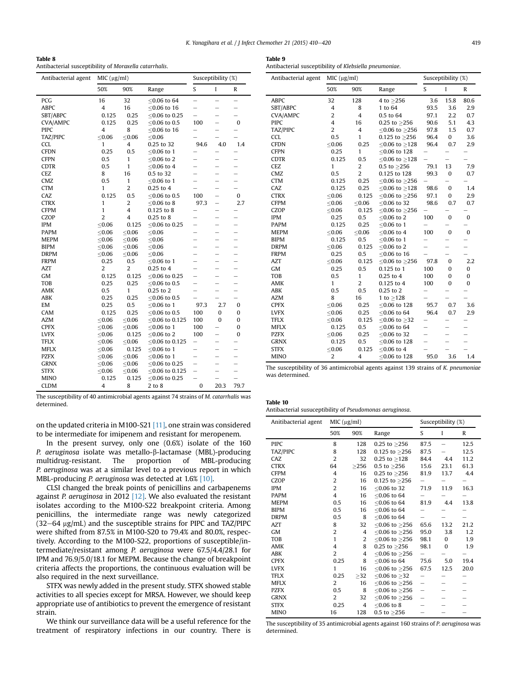<span id="page-9-0"></span>

| Table 8                                                |  |
|--------------------------------------------------------|--|
| Antibacterial susceptibility of Moraxella catarrhalis. |  |

| Antibacterial agent | MIC (µg/ml)    |                         |                   | Susceptibility (%)       |                          |                          |  |  |
|---------------------|----------------|-------------------------|-------------------|--------------------------|--------------------------|--------------------------|--|--|
|                     | 50%            | 90%                     | Range             | S                        | I                        | R                        |  |  |
| PCG                 | 16             | 32                      | $< 0.06$ to 64    | $\overline{\phantom{0}}$ | $\overline{\phantom{0}}$ | $\overline{\phantom{0}}$ |  |  |
| <b>ABPC</b>         | $\overline{4}$ | 16                      | $<$ 0.06 to 16    | $\overline{\phantom{0}}$ |                          | $\overline{\phantom{0}}$ |  |  |
| SBT/ABPC            | 0.125          | 0.25                    | $<$ 0.06 to 0.25  | $\overline{\phantom{0}}$ |                          | $\overline{\phantom{0}}$ |  |  |
| <b>CVA/AMPC</b>     | 0.125          | 0.25                    | $<$ 0.06 to 0.5   | 100                      | -                        | $\bf{0}$                 |  |  |
| <b>PIPC</b>         | $\overline{4}$ | 8                       | $< 0.06$ to 16    | $\overline{\phantom{0}}$ | ÷                        |                          |  |  |
| TAZ/PIPC            | < 0.06         | < 0.06                  | < 0.06            |                          |                          |                          |  |  |
| <b>CCL</b>          | 1              | 4                       | 0.25 to 32        | 94.6                     | 4.0                      | 1.4                      |  |  |
| <b>CFDN</b>         | 0.25           | 0.5                     | $<$ 0.06 to 1     |                          |                          |                          |  |  |
| <b>CFPN</b>         | 0.5            | 1                       | $< 0.06$ to 2     | <u>.</u>                 |                          | <u>.</u>                 |  |  |
| <b>CDTR</b>         | 0.5            | 1                       | $<$ 0.06 to 4     | $\overline{\phantom{0}}$ | L,                       |                          |  |  |
| CEZ                 | 8              | 16                      | 0.5 to 32         | -                        | -                        | -                        |  |  |
| CMZ                 | 0.5            | 1                       | $< 0.06$ to 1     | $\overline{\phantom{0}}$ | $\overline{\phantom{0}}$ | $\overline{\phantom{0}}$ |  |  |
| <b>CTM</b>          | 1              | $\overline{2}$          | 0.25 to 4         | $\overline{\phantom{0}}$ | ÷                        | $\overline{\phantom{0}}$ |  |  |
| CAZ                 | 0.125          | 0.5                     | $<$ 0.06 to 0.5   | 100                      | $\overline{\phantom{0}}$ | 0                        |  |  |
| <b>CTRX</b>         | 1              | $\overline{2}$          | $< 0.06$ to 8     | 97.3                     | $\overline{\phantom{0}}$ | 2.7                      |  |  |
| <b>CFPM</b>         | 1              | $\overline{\mathbf{4}}$ | 0.125 to 8        | -                        | -                        | $\overline{\phantom{0}}$ |  |  |
| CZOP                | $\overline{2}$ | 4                       | $0.25$ to $8$     | -                        |                          | -                        |  |  |
| <b>IPM</b>          | < 0.06         | 0.125                   | $<$ 0.06 to 0.25  | $\overline{\phantom{0}}$ | -                        | $\overline{\phantom{0}}$ |  |  |
| <b>PAPM</b>         | < 0.06         | < 0.06                  | < 0.06            |                          | ÷                        |                          |  |  |
| <b>MEPM</b>         | < 0.06         | < 0.06                  | < 0.06            | $\overline{\phantom{0}}$ | $\overline{\phantom{0}}$ | $\overline{\phantom{0}}$ |  |  |
| <b>BIPM</b>         | < 0.06         | $\leq 0.06$             | < 0.06            | <u>.</u>                 | ÷                        | $\overline{\phantom{0}}$ |  |  |
| <b>DRPM</b>         | < 0.06         | < 0.06                  | < 0.06            | -                        | -                        |                          |  |  |
| <b>FRPM</b>         | 0.25           | 0.5                     | $<$ 0.06 to 1     | L,                       | $\overline{\phantom{0}}$ | $\overline{\phantom{0}}$ |  |  |
| AZT                 | $\overline{2}$ | 2                       | 0.25 to 4         | <u>.</u>                 | -                        |                          |  |  |
| <b>GM</b>           | 0.125          | 0.125                   | $<$ 0.06 to 0.25  | -                        | $\overline{\phantom{0}}$ | -                        |  |  |
| <b>TOB</b>          | 0.25           | 0.25                    | $<$ 0.06 to 0.5   | $\overline{\phantom{0}}$ | $\equiv$                 |                          |  |  |
| AMK                 | 0.5            | 1                       | $0.25$ to $2$     | $\overline{\phantom{0}}$ | $\overline{\phantom{0}}$ | $\overline{\phantom{0}}$ |  |  |
| ABK                 | 0.25           | 0.25                    | $<$ 0.06 to 0.5   | L,                       |                          |                          |  |  |
| EM                  | 0.25           | 0.5                     | $<$ 0.06 to 1     | 97.3                     | 2.7                      | 0                        |  |  |
| CAM                 | 0.125          | 0.25                    | $<$ 0.06 to 0.5   | 100                      | 0                        | 0                        |  |  |
| <b>AZM</b>          | < 0.06         | < 0.06                  | $<$ 0.06 to 0.125 | 100                      | 0                        | 0                        |  |  |
| <b>CPFX</b>         | ≤ $0.06$       | $\leq 0.06$             | $<$ 0.06 to 1     | 100                      |                          | 0                        |  |  |
| <b>LVFX</b>         | < 0.06         | 0.125                   | $< 0.06$ to 2     | 100                      | $\overline{\phantom{0}}$ | 0                        |  |  |
| <b>TFLX</b>         | < 0.06         | < 0.06                  | $<$ 0.06 to 0.125 | $\overline{\phantom{0}}$ | $\overline{\phantom{0}}$ |                          |  |  |
| <b>MFLX</b>         | ≤ $0.06$       | 0.125                   | $<$ 0.06 to 1     | $\overline{\phantom{0}}$ | $\overline{\phantom{0}}$ |                          |  |  |
| <b>PZFX</b>         | < 0.06         | < 0.06                  | $< 0.06$ to 1     | $\overline{\phantom{0}}$ | -                        | -                        |  |  |
| <b>GRNX</b>         | < 0.06         | < 0.06                  | $<$ 0.06 to 0.25  | $\overline{\phantom{0}}$ | $\equiv$                 | $\overline{\phantom{0}}$ |  |  |
| <b>STFX</b>         | < 0.06         | < 0.06                  | $<$ 0.06 to 0.125 | $\overline{\phantom{0}}$ | $\overline{\phantom{0}}$ | $\overline{\phantom{0}}$ |  |  |
| <b>MINO</b>         | 0.125          | 0.125                   | $<$ 0.06 to 0.25  |                          | $\overline{\phantom{0}}$ | $\overline{\phantom{0}}$ |  |  |
| CLDM                | $\overline{4}$ | 8                       | 2 to 8            | 0                        | 20.3                     | 79.7                     |  |  |

The susceptibility of 40 antimicrobial agents against 74 strains of M. catarrhalis was determined.

on the updated criteria in M100-S21 [\[11\]](#page-10-0), one strain was considered to be intermediate for imipenem and resistant for meropenem.

In the present survey, only one (0.6%) isolate of the 160 P. aeruginosa isolate was metallo-β-lactamase (MBL)-producing multidrug-resistant. The proportion of MBL-producing P. aeruginosa was at a similar level to a previous report in which MBL-producing P. aeruginosa was detected at 1.6% [\[10\].](#page-10-0)

CLSI changed the break points of penicillins and carbapenems against P. aeruginosa in 2012  $[12]$ . We also evaluated the resistant isolates according to the M100-S22 breakpoint criteria. Among penicillins, the intermediate range was newly categorized  $(32-64 \text{ µg/mL})$  and the susceptible strains for PIPC and TAZ/PIPC were shifted from 87.5% in M100-S20 to 79.4% and 80.0%, respectively. According to the M100-S22, proportions of susceptible/intermediate/resistant among P. aeruginosa were 67.5/4.4/28.1 for IPM and 76.9/5.0/18.1 for MEPM. Because the change of breakpoint criteria affects the proportions, the continuous evaluation will be also required in the next surveillance.

STFX was newly added in the present study. STFX showed stable activities to all species except for MRSA. However, we should keep appropriate use of antibiotics to prevent the emergence of resistant strain.

We think our surveillance data will be a useful reference for the treatment of respiratory infections in our country. There is

| <br>$\sim$<br>$\sim$ |  |
|----------------------|--|
|----------------------|--|

Antibacterial susceptibility of Klebsiella pneumoniae.

| Antibacterial agent | MIC (µg/ml)    |                         |                     | Susceptibility (%)       |                          |              |  |
|---------------------|----------------|-------------------------|---------------------|--------------------------|--------------------------|--------------|--|
|                     | 50%            | 90%                     | Range               | S                        | I                        | R            |  |
| <b>ABPC</b>         | 32             | 128                     | 4 to ≥256           | 3.6                      | 15.8                     | 80.6         |  |
| SBT/ABPC            | $\overline{4}$ | 8                       | 1 to 64             | 93.5                     | 3.6                      | 2.9          |  |
| <b>CVA/AMPC</b>     | $\overline{2}$ | $\overline{4}$          | 0.5 to 64           | 97.1                     | 2.2                      | 0.7          |  |
| <b>PIPC</b>         | $\overline{4}$ | 16                      | $0.25$ to $>256$    | 90.6                     | 5.1                      | 4.3          |  |
| TAZ/PIPC            | $\overline{2}$ | $\overline{4}$          | $< 0.06$ to $> 256$ | 97.8                     | 1.5                      | 0.7          |  |
| <b>CCL</b>          | 0.5            | $\mathbf{1}$            | 0.125 to $\geq$ 256 | 96.4                     | 0                        | 3.6          |  |
| <b>CFDN</b>         | < 0.06         | 0.25                    | $< 0.06$ to $> 128$ | 96.4                     | 0.7                      | 2.9          |  |
| <b>CFPN</b>         | 0.25           | 1                       | ≤0.06 to 128        |                          |                          |              |  |
| <b>CDTR</b>         | 0.125          | 0.5                     | $< 0.06$ to $> 128$ |                          | $\overline{\phantom{0}}$ |              |  |
| <b>CEZ</b>          | $\mathbf{1}$   | $\overline{\mathbf{c}}$ | 0.5 to $\geq$ 256   | 79.1                     | 13                       | 7.9          |  |
| CMZ                 | 0.5            | $\overline{2}$          | 0.125 to 128        | 99.3                     | $\mathbf{0}$             | 0.7          |  |
| <b>CTM</b>          | 0.125          | 0.25                    | ≤0.06 to $≥$ 256    |                          |                          |              |  |
| CAZ                 | 0.125          | 0.25                    | ≤0.06 to $≥128$     | 98.6                     | $\pmb{0}$                | 1.4          |  |
| <b>CTRX</b>         | < 0.06         | 0.125                   | ≤0.06 to $≥$ 256    | 97.1                     | 0                        | 2.9          |  |
| <b>CFPM</b>         | < 0.06         | < 0.06                  | ≤0.06 to 32         | 98.6                     | 0.7                      | 0.7          |  |
| <b>CZOP</b>         | ≤ $0.06$       | 0.125                   | ≤0.06 to $≥$ 256    | $\overline{\phantom{0}}$ |                          |              |  |
| <b>IPM</b>          | 0.25           | 0.5                     | $< 0.06$ to 2       | 100                      | $\mathbf{0}$             | $\bf{0}$     |  |
| <b>PAPM</b>         | 0.125          | 0.25                    | $< 0.06$ to 1       | $\overline{\phantom{0}}$ |                          |              |  |
| <b>MEPM</b>         | < 0.06         | < 0.06                  | $< 0.06$ to 4       | 100                      | $\mathbf{0}$             | $\mathbf{0}$ |  |
| <b>BIPM</b>         | 0.125          | 0.5                     | $< 0.06$ to 1       | $\overline{\phantom{0}}$ |                          |              |  |
| <b>DRPM</b>         | < 0.06         | 0.125                   | $< 0.06$ to 2       |                          | -                        |              |  |
| <b>FRPM</b>         | 0.25           | 0.5                     | $< 0.06$ to 16      |                          |                          |              |  |
| AZT                 | < 0.06         | 0.125                   | $<$ 0.06 to $>$ 256 | 97.8                     | 0                        | 2.2          |  |
| <b>GM</b>           | 0.25           | 0.5                     | 0.125 to 1          | 100                      | $\bf{0}$                 | 0            |  |
| TOB                 | 0.5            | $\mathbf{1}$            | $0.25$ to $4$       | 100                      | 0                        | 0            |  |
| AMK                 | 1              | $\overline{2}$          | 0.125 to 4          | 100                      | $\mathbf{0}$             | $\bf{0}$     |  |
| ABK                 | 0.5            | 0.5                     | $0.25$ to $2$       |                          |                          |              |  |
| <b>AZM</b>          | 8              | 16                      | 1 to $>128$         |                          |                          |              |  |
| <b>CPFX</b>         | $\leq 0.06$    | 0.25                    | ≤0.06 to 128        | 95.7                     | 0.7                      | 3.6          |  |
| <b>LVFX</b>         | ≤ $0.06$       | 0.25                    | $< 0.06$ to 64      | 96.4                     | 0.7                      | 2.9          |  |
| <b>TFLX</b>         | ≤ $0.06$       | 0.125                   | $< 0.06$ to $> 32$  |                          |                          |              |  |
| <b>MFLX</b>         | 0.125          | 0.5                     | $< 0.06$ to 64      | -                        | -                        |              |  |
| <b>PZFX</b>         | < 0.06         | 0.25                    | $< 0.06$ to 32      | -                        |                          |              |  |
| <b>GRNX</b>         | 0.125          | 0.5                     | $<$ 0.06 to 128     | $\overline{\phantom{0}}$ | $\overline{\phantom{0}}$ | ÷            |  |
| <b>STFX</b>         | ≤ $0.06$       | 0.125                   | $< 0.06$ to 4       |                          |                          |              |  |
| <b>MINO</b>         | $\overline{2}$ | $\overline{4}$          | $<$ 0.06 to 128     | 95.0                     | 3.6                      | 1.4          |  |

The susceptibility of 36 antimicrobial agents against 139 strains of K. pneumoniae was determined.

| Table 10                                                 |  |
|----------------------------------------------------------|--|
| Antibacterial susuceptibility of Pseudomonas aeruginosa. |  |

| Anitibacterial agent | MIC (µg/ml)    |                |                        | Susceptibility (%)       |      |              |  |
|----------------------|----------------|----------------|------------------------|--------------------------|------|--------------|--|
|                      | 50%            | 90%            | Range                  | S                        | I    | $\mathbb{R}$ |  |
| <b>PIPC</b>          | 8              | 128            | 0.25 to $\geq$ 256     | 87.5                     |      | 12.5         |  |
| TAZ/PIPC             | 8              | 128            | $0.125$ to $>256$      | 87.5                     |      | 12.5         |  |
| CAZ                  | $\overline{2}$ | 32             | 0.25 to $\geq$ 128     | 84.4                     | 4.4  | 11.2         |  |
| <b>CTRX</b>          | 64             | >256           | $0.5$ to $>256$        | 15.6                     | 23.1 | 61.3         |  |
| <b>CFPM</b>          | 4              | 16             | 0.25 to $\geq$ 256     | 81.9                     | 13.7 | 4.4          |  |
| CZOP                 | 2              | 16             | 0.125 to $\geq$ 256    | -                        |      |              |  |
| <b>IPM</b>           | 2              | 16             | $<$ 0.06 to 32         | 71.9                     | 11.9 | 16.3         |  |
| <b>PAPM</b>          | $\overline{4}$ | 16             | $< 0.06$ to 64         |                          |      |              |  |
| <b>MEPM</b>          | 0.5            | 16             | $< 0.06$ to 64         | 81.9                     | 4.4  | 13.8         |  |
| <b>BIPM</b>          | 0.5            | 16             | $< 0.06$ to 64         |                          |      |              |  |
| <b>DRPM</b>          | 0.5            | 8              | $< 0.06$ to 64         |                          |      |              |  |
| AZT                  | 8              | 32             | $<$ 0.06 to $\geq$ 256 | 65.6                     | 13.2 | 21.2         |  |
| GM                   | $\overline{2}$ | $\overline{4}$ | $<$ 0.06 to $>$ 256    | 95.0                     | 3.8  | 1.2          |  |
| <b>TOB</b>           | $\mathbf{1}$   | 2              | ≤0.06 to $≥$ 256       | 98.1                     | 0    | 1.9          |  |
| AMK                  | 4              | 8              | $0.25$ to $>256$       | 98.1                     | 0    | 1.9          |  |
| <b>ABK</b>           | $\overline{2}$ | $\overline{4}$ | ≤0.06 to $≥$ 256       |                          |      |              |  |
| <b>CPFX</b>          | 0.25           | 8              | $<$ 0.06 to 64         | 75.6                     | 5.0  | 19.4         |  |
| <b>LVFX</b>          | $\mathbf{1}$   | 16             | ≤0.06 to $≥$ 256       | 67.5                     | 12.5 | 20.0         |  |
| <b>TFLX</b>          | 0.25           | >32            | $<$ 0.06 to $>$ 32     |                          |      |              |  |
| <b>MFLX</b>          | 2              | 16             | ≤0.06 to $≥$ 256       | $\overline{\phantom{0}}$ |      |              |  |
| <b>PZFX</b>          | 0.5            | 8              | $<$ 0.06 to $\geq$ 256 |                          |      |              |  |
| <b>GRNX</b>          | $\overline{2}$ | 32             | $< 0.06$ to $> 256$    |                          |      |              |  |
| <b>STFX</b>          | 0.25           | $\overline{4}$ | $< 0.06$ to 8          |                          |      |              |  |
| <b>MINO</b>          | 16             | 128            | 0.5 to $\geq$ 256      |                          |      |              |  |

The susceptibility of 35 antimicrobial agents against 160 strains of P. aeruginosa was determined.